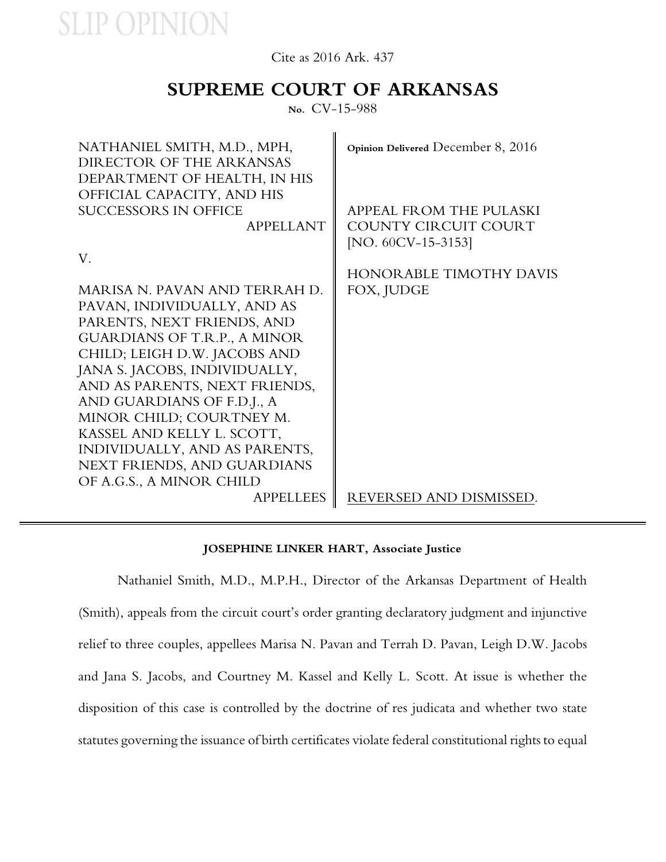### Cite as 2016 Ark. 437

### **SUPREME COURT OF ARKANSAS**

**No.** CV-15-988

| NATHANIEL SMITH, M.D., MPH,<br>DIRECTOR OF THE ARKANSAS<br>DEPARTMENT OF HEALTH, IN HIS<br>OFFICIAL CAPACITY, AND HIS<br><b>SUCCESSORS IN OFFICE</b><br><b>APPELLANT</b> | Opinion Delivered December 8, 2016<br>APPEAL FROM THE PULASKI<br>COUNTY CIRCUIT COURT<br>[NO. $60CV-15-3153$ ] |
|--------------------------------------------------------------------------------------------------------------------------------------------------------------------------|----------------------------------------------------------------------------------------------------------------|
| V.                                                                                                                                                                       |                                                                                                                |
|                                                                                                                                                                          | <b>HONORABLE TIMOTHY DAVIS</b>                                                                                 |
| MARISA N. PAVAN AND TERRAH D.                                                                                                                                            | FOX, JUDGE                                                                                                     |
| PAVAN, INDIVIDUALLY, AND AS                                                                                                                                              |                                                                                                                |
| PARENTS, NEXT FRIENDS, AND                                                                                                                                               |                                                                                                                |
| <b>GUARDIANS OF T.R.P., A MINOR</b>                                                                                                                                      |                                                                                                                |
| CHILD; LEIGH D.W. JACOBS AND                                                                                                                                             |                                                                                                                |
| JANA S. JACOBS, INDIVIDUALLY,                                                                                                                                            |                                                                                                                |
| AND AS PARENTS, NEXT FRIENDS,                                                                                                                                            |                                                                                                                |
| AND GUARDIANS OF F.D.J., A                                                                                                                                               |                                                                                                                |
| MINOR CHILD; COURTNEY M.                                                                                                                                                 |                                                                                                                |
| KASSEL AND KELLY L. SCOTT,                                                                                                                                               |                                                                                                                |
| INDIVIDUALLY, AND AS PARENTS,                                                                                                                                            |                                                                                                                |
| NEXT FRIENDS, AND GUARDIANS                                                                                                                                              |                                                                                                                |
| OF A.G.S., A MINOR CHILD                                                                                                                                                 |                                                                                                                |
| <b>APPELLEES</b>                                                                                                                                                         | REVERSED AND DISMISSED.                                                                                        |

#### **JOSEPHINE LINKER HART, Associate Justice**

Nathaniel Smith, M.D., M.P.H., Director of the Arkansas Department of Health (Smith), appeals from the circuit court's order granting declaratory judgment and injunctive relief to three couples, appellees Marisa N. Pavan and Terrah D. Pavan, Leigh D.W. Jacobs and Jana S. Jacobs, and Courtney M. Kassel and Kelly L. Scott. At issue is whether the disposition of this case is controlled by the doctrine of res judicata and whether two state statutes governing the issuance of birth certificates violate federal constitutional rights to equal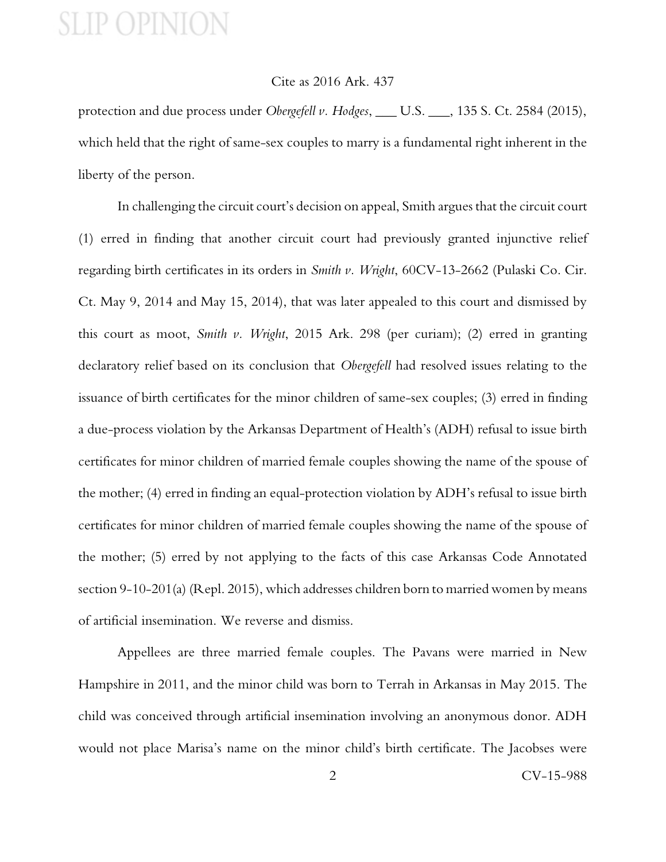### Cite as 2016 Ark. 437

protection and due process under *Obergefell v. Hodges*, \_\_\_ U.S. \_\_\_, 135 S. Ct. 2584 (2015), which held that the right of same-sex couples to marry is a fundamental right inherent in the liberty of the person.

In challenging the circuit court's decision on appeal, Smith argues that the circuit court (1) erred in finding that another circuit court had previously granted injunctive relief regarding birth certificates in its orders in *Smith v. Wright*, 60CV-13-2662 (Pulaski Co. Cir. Ct. May 9, 2014 and May 15, 2014), that was later appealed to this court and dismissed by this court as moot, *Smith v. Wright*, 2015 Ark. 298 (per curiam); (2) erred in granting declaratory relief based on its conclusion that *Obergefell* had resolved issues relating to the issuance of birth certificates for the minor children of same-sex couples; (3) erred in finding a due-process violation by the Arkansas Department of Health's (ADH) refusal to issue birth certificates for minor children of married female couples showing the name of the spouse of the mother; (4) erred in finding an equal-protection violation by ADH's refusal to issue birth certificates for minor children of married female couples showing the name of the spouse of the mother; (5) erred by not applying to the facts of this case Arkansas Code Annotated section 9-10-201(a) (Repl. 2015), which addresses children born to married women by means of artificial insemination. We reverse and dismiss.

Appellees are three married female couples. The Pavans were married in New Hampshire in 2011, and the minor child was born to Terrah in Arkansas in May 2015. The child was conceived through artificial insemination involving an anonymous donor. ADH would not place Marisa's name on the minor child's birth certificate. The Jacobses were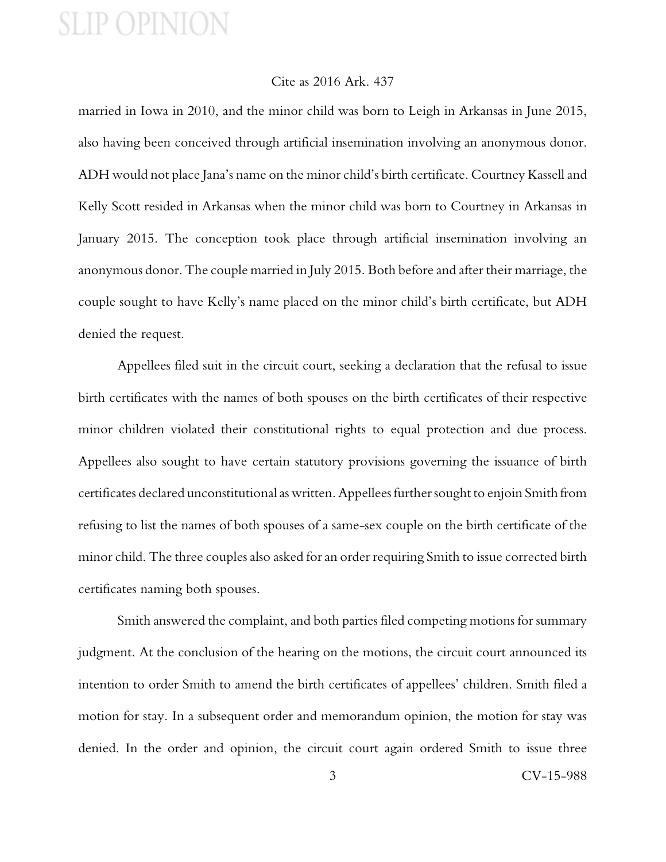#### Cite as 2016 Ark. 437

married in Iowa in 2010, and the minor child was born to Leigh in Arkansas in June 2015, also having been conceived through artificial insemination involving an anonymous donor. ADH would not place Jana's name on the minor child's birth certificate. Courtney Kassell and Kelly Scott resided in Arkansas when the minor child was born to Courtney in Arkansas in January 2015. The conception took place through artificial insemination involving an anonymous donor. The couple married in July 2015. Both before and after their marriage, the couple sought to have Kelly's name placed on the minor child's birth certificate, but ADH denied the request.

Appellees filed suit in the circuit court, seeking a declaration that the refusal to issue birth certificates with the names of both spouses on the birth certificates of their respective minor children violated their constitutional rights to equal protection and due process. Appellees also sought to have certain statutory provisions governing the issuance of birth certificates declared unconstitutional as written. Appellees further sought to enjoin Smith from refusing to list the names of both spouses of a same-sex couple on the birth certificate of the minor child. The three couples also asked for an order requiring Smith to issue corrected birth certificates naming both spouses.

Smith answered the complaint, and both parties filed competing motions for summary judgment. At the conclusion of the hearing on the motions, the circuit court announced its intention to order Smith to amend the birth certificates of appellees' children. Smith filed a motion for stay. In a subsequent order and memorandum opinion, the motion for stay was denied. In the order and opinion, the circuit court again ordered Smith to issue three

3 CV-15-988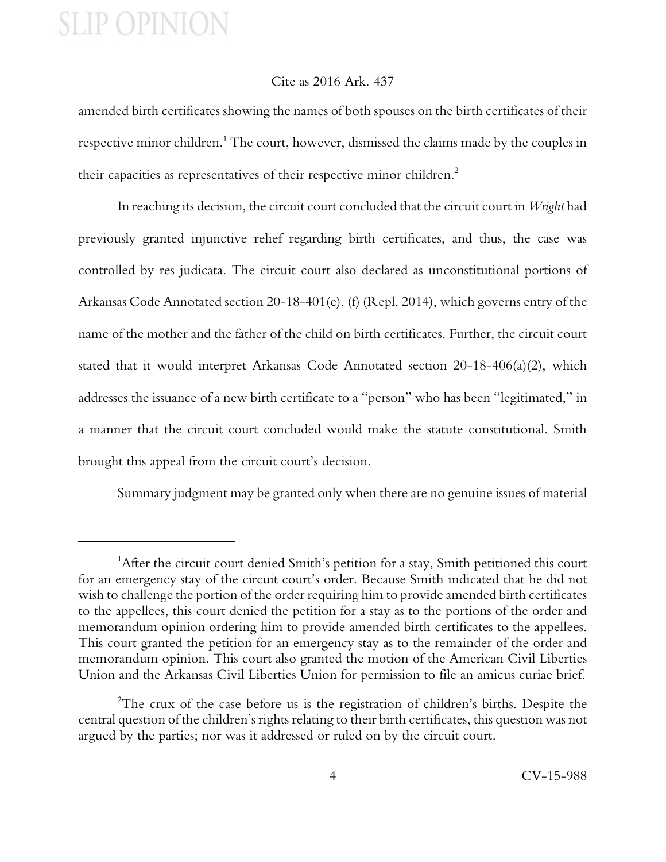### Cite as 2016 Ark. 437

amended birth certificates showing the names of both spouses on the birth certificates of their respective minor children.<sup>1</sup> The court, however, dismissed the claims made by the couples in their capacities as representatives of their respective minor children.<sup>2</sup>

In reaching its decision, the circuit court concluded that the circuit court in *Wright* had previously granted injunctive relief regarding birth certificates, and thus, the case was controlled by res judicata. The circuit court also declared as unconstitutional portions of Arkansas Code Annotated section 20-18-401(e), (f) (Repl. 2014), which governs entry of the name of the mother and the father of the child on birth certificates. Further, the circuit court stated that it would interpret Arkansas Code Annotated section 20-18-406(a)(2), which addresses the issuance of a new birth certificate to a "person" who has been "legitimated," in a manner that the circuit court concluded would make the statute constitutional. Smith brought this appeal from the circuit court's decision.

Summary judgment may be granted only when there are no genuine issues of material

<sup>&</sup>lt;sup>1</sup>After the circuit court denied Smith's petition for a stay, Smith petitioned this court for an emergency stay of the circuit court's order. Because Smith indicated that he did not wish to challenge the portion of the order requiring him to provide amended birth certificates to the appellees, this court denied the petition for a stay as to the portions of the order and memorandum opinion ordering him to provide amended birth certificates to the appellees. This court granted the petition for an emergency stay as to the remainder of the order and memorandum opinion. This court also granted the motion of the American Civil Liberties Union and the Arkansas Civil Liberties Union for permission to file an amicus curiae brief.

<sup>&</sup>lt;sup>2</sup>The crux of the case before us is the registration of children's births. Despite the central question of the children's rights relating to their birth certificates, this question was not argued by the parties; nor was it addressed or ruled on by the circuit court.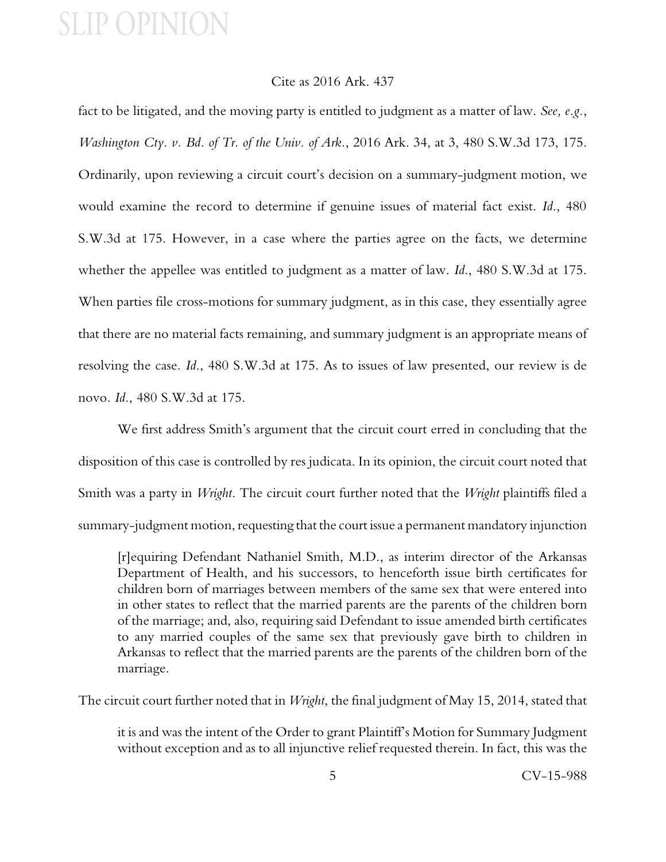### Cite as 2016 Ark. 437

fact to be litigated, and the moving party is entitled to judgment as a matter of law. *See, e.g.*, *Washington Cty. v. Bd. of Tr. of the Univ. of Ark.*, 2016 Ark. 34, at 3, 480 S.W.3d 173, 175. Ordinarily, upon reviewing a circuit court's decision on a summary-judgment motion, we would examine the record to determine if genuine issues of material fact exist. *Id*., 480 S.W.3d at 175. However, in a case where the parties agree on the facts, we determine whether the appellee was entitled to judgment as a matter of law. *Id*., 480 S.W.3d at 175. When parties file cross-motions for summary judgment, as in this case, they essentially agree that there are no material facts remaining, and summary judgment is an appropriate means of resolving the case. *Id*., 480 S.W.3d at 175. As to issues of law presented, our review is de novo. *Id*., 480 S.W.3d at 175.

We first address Smith's argument that the circuit court erred in concluding that the disposition of this case is controlled by res judicata. In its opinion, the circuit court noted that Smith was a party in *Wright*. The circuit court further noted that the *Wright* plaintiffs filed a summary-judgment motion, requesting that the court issue a permanent mandatory injunction

[r]equiring Defendant Nathaniel Smith, M.D., as interim director of the Arkansas Department of Health, and his successors, to henceforth issue birth certificates for children born of marriages between members of the same sex that were entered into in other states to reflect that the married parents are the parents of the children born of the marriage; and, also, requiring said Defendant to issue amended birth certificates to any married couples of the same sex that previously gave birth to children in Arkansas to reflect that the married parents are the parents of the children born of the marriage.

The circuit court further noted that in *Wright*, the final judgment of May 15, 2014, stated that

it is and was the intent of the Order to grant Plaintiff's Motion for Summary Judgment without exception and as to all injunctive relief requested therein. In fact, this was the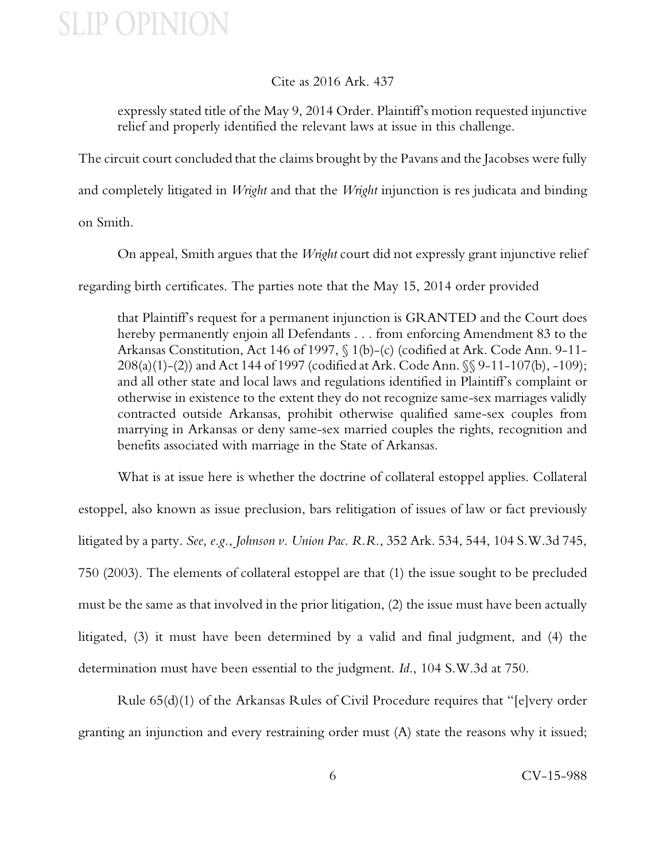### Cite as 2016 Ark. 437

expressly stated title of the May 9, 2014 Order. Plaintiff's motion requested injunctive relief and properly identified the relevant laws at issue in this challenge.

The circuit court concluded that the claims brought by the Pavans and the Jacobses were fully and completely litigated in *Wright* and that the *Wright* injunction is res judicata and binding

on Smith.

On appeal, Smith argues that the *Wright* court did not expressly grant injunctive relief

regarding birth certificates. The parties note that the May 15, 2014 order provided

that Plaintiff's request for a permanent injunction is GRANTED and the Court does hereby permanently enjoin all Defendants . . . from enforcing Amendment 83 to the Arkansas Constitution, Act 146 of 1997, § 1(b)-(c) (codified at Ark. Code Ann. 9-11- 208(a)(1)-(2)) and Act 144 of 1997 (codified at Ark. Code Ann. §§ 9-11-107(b), -109); and all other state and local laws and regulations identified in Plaintiff's complaint or otherwise in existence to the extent they do not recognize same-sex marriages validly contracted outside Arkansas, prohibit otherwise qualified same-sex couples from marrying in Arkansas or deny same-sex married couples the rights, recognition and benefits associated with marriage in the State of Arkansas.

What is at issue here is whether the doctrine of collateral estoppel applies. Collateral estoppel, also known as issue preclusion, bars relitigation of issues of law or fact previously litigated by a party. *See, e.g.*, *Johnson v. Union Pac. R.R.*, 352 Ark. 534, 544, 104 S.W.3d 745, 750 (2003). The elements of collateral estoppel are that (1) the issue sought to be precluded must be the same as that involved in the prior litigation, (2) the issue must have been actually litigated, (3) it must have been determined by a valid and final judgment, and (4) the determination must have been essential to the judgment. *Id*., 104 S.W.3d at 750.

Rule 65(d)(1) of the Arkansas Rules of Civil Procedure requires that "[e]very order granting an injunction and every restraining order must (A) state the reasons why it issued;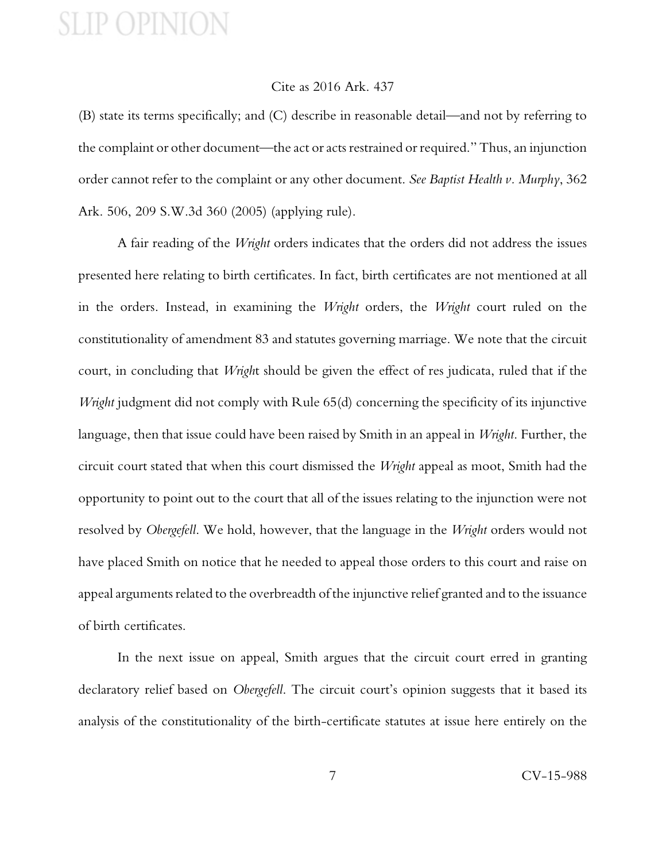#### Cite as 2016 Ark. 437

(B) state its terms specifically; and (C) describe in reasonable detail—and not by referring to the complaint or other document—the act or acts restrained or required." Thus, an injunction order cannot refer to the complaint or any other document. *See Baptist Health v. Murphy*, 362 Ark. 506, 209 S.W.3d 360 (2005) (applying rule).

A fair reading of the *Wright* orders indicates that the orders did not address the issues presented here relating to birth certificates. In fact, birth certificates are not mentioned at all in the orders. Instead, in examining the *Wright* orders, the *Wright* court ruled on the constitutionality of amendment 83 and statutes governing marriage. We note that the circuit court, in concluding that *Wrigh*t should be given the effect of res judicata, ruled that if the *Wright* judgment did not comply with Rule 65(d) concerning the specificity of its injunctive language, then that issue could have been raised by Smith in an appeal in *Wright*. Further, the circuit court stated that when this court dismissed the *Wright* appeal as moot, Smith had the opportunity to point out to the court that all of the issues relating to the injunction were not resolved by *Obergefell*. We hold, however, that the language in the *Wright* orders would not have placed Smith on notice that he needed to appeal those orders to this court and raise on appeal arguments related to the overbreadth of the injunctive relief granted and to the issuance of birth certificates.

In the next issue on appeal, Smith argues that the circuit court erred in granting declaratory relief based on *Obergefell*. The circuit court's opinion suggests that it based its analysis of the constitutionality of the birth-certificate statutes at issue here entirely on the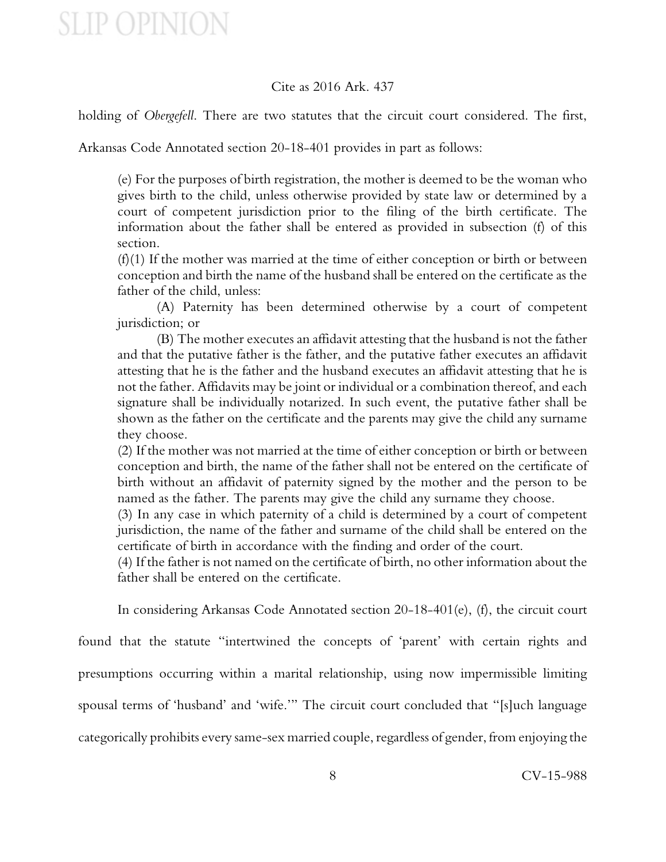### Cite as 2016 Ark. 437

holding of *Obergefell*. There are two statutes that the circuit court considered. The first,

Arkansas Code Annotated section 20-18-401 provides in part as follows:

(e) For the purposes of birth registration, the mother is deemed to be the woman who gives birth to the child, unless otherwise provided by state law or determined by a court of competent jurisdiction prior to the filing of the birth certificate. The information about the father shall be entered as provided in subsection (f) of this section.

(f)(1) If the mother was married at the time of either conception or birth or between conception and birth the name of the husband shall be entered on the certificate as the father of the child, unless:

(A) Paternity has been determined otherwise by a court of competent jurisdiction; or

(B) The mother executes an affidavit attesting that the husband is not the father and that the putative father is the father, and the putative father executes an affidavit attesting that he is the father and the husband executes an affidavit attesting that he is not the father. Affidavits may be joint or individual or a combination thereof, and each signature shall be individually notarized. In such event, the putative father shall be shown as the father on the certificate and the parents may give the child any surname they choose.

(2) If the mother was not married at the time of either conception or birth or between conception and birth, the name of the father shall not be entered on the certificate of birth without an affidavit of paternity signed by the mother and the person to be named as the father. The parents may give the child any surname they choose.

(3) In any case in which paternity of a child is determined by a court of competent jurisdiction, the name of the father and surname of the child shall be entered on the certificate of birth in accordance with the finding and order of the court.

(4) If the father is not named on the certificate of birth, no other information about the father shall be entered on the certificate.

In considering Arkansas Code Annotated section 20-18-401(e), (f), the circuit court

found that the statute "intertwined the concepts of 'parent' with certain rights and presumptions occurring within a marital relationship, using now impermissible limiting spousal terms of 'husband' and 'wife.'" The circuit court concluded that "[s]uch language categorically prohibits every same-sex married couple, regardless of gender, from enjoying the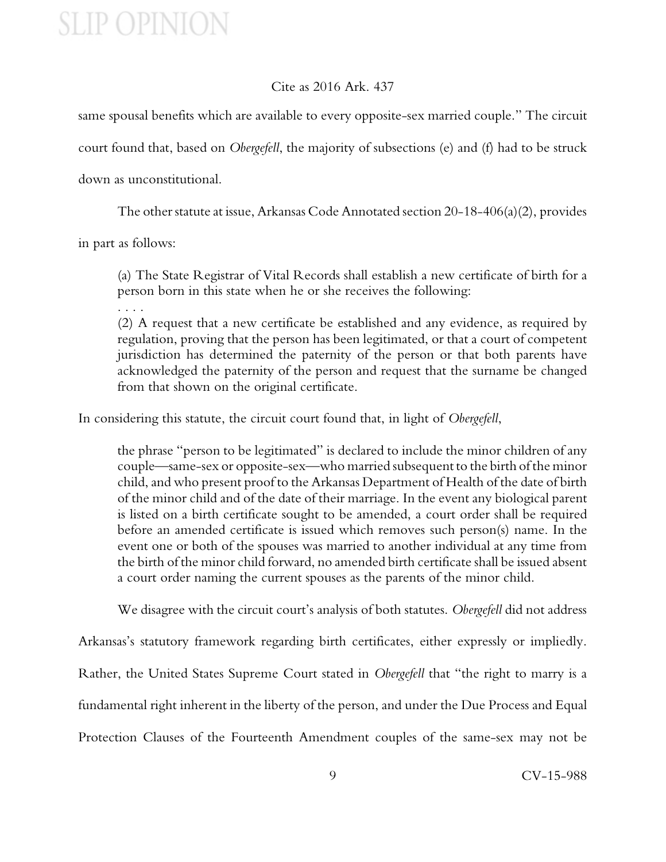### Cite as 2016 Ark. 437

same spousal benefits which are available to every opposite-sex married couple." The circuit court found that, based on *Obergefell*, the majority of subsections (e) and (f) had to be struck down as unconstitutional.

The other statute at issue, Arkansas Code Annotated section 20-18-406(a)(2), provides

in part as follows:

(a) The State Registrar of Vital Records shall establish a new certificate of birth for a person born in this state when he or she receives the following:

. . . .

(2) A request that a new certificate be established and any evidence, as required by regulation, proving that the person has been legitimated, or that a court of competent jurisdiction has determined the paternity of the person or that both parents have acknowledged the paternity of the person and request that the surname be changed from that shown on the original certificate.

In considering this statute, the circuit court found that, in light of *Obergefell*,

the phrase "person to be legitimated" is declared to include the minor children of any couple—same-sex or opposite-sex—who married subsequent to the birth of the minor child, and who present proof to the Arkansas Department of Health of the date of birth of the minor child and of the date of their marriage. In the event any biological parent is listed on a birth certificate sought to be amended, a court order shall be required before an amended certificate is issued which removes such person(s) name. In the event one or both of the spouses was married to another individual at any time from the birth of the minor child forward, no amended birth certificate shall be issued absent a court order naming the current spouses as the parents of the minor child.

We disagree with the circuit court's analysis of both statutes. *Obergefell* did not address

Arkansas's statutory framework regarding birth certificates, either expressly or impliedly.

Rather, the United States Supreme Court stated in *Obergefell* that "the right to marry is a

fundamental right inherent in the liberty of the person, and under the Due Process and Equal

Protection Clauses of the Fourteenth Amendment couples of the same-sex may not be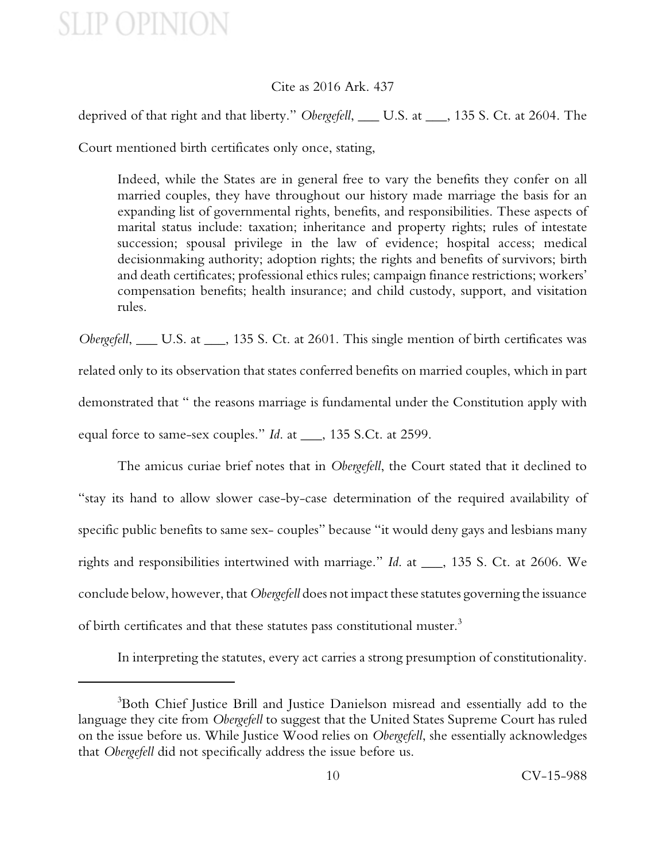### Cite as 2016 Ark. 437

deprived of that right and that liberty." *Obergefell*, \_\_\_ U.S. at \_\_\_, 135 S. Ct. at 2604. The

Court mentioned birth certificates only once, stating,

Indeed, while the States are in general free to vary the benefits they confer on all married couples, they have throughout our history made marriage the basis for an expanding list of governmental rights, benefits, and responsibilities. These aspects of marital status include: taxation; inheritance and property rights; rules of intestate succession; spousal privilege in the law of evidence; hospital access; medical decisionmaking authority; adoption rights; the rights and benefits of survivors; birth and death certificates; professional ethics rules; campaign finance restrictions; workers' compensation benefits; health insurance; and child custody, support, and visitation rules.

*Obergefell*, \_\_\_ U.S. at \_\_\_, 135 S. Ct. at 2601. This single mention of birth certificates was related only to its observation that states conferred benefits on married couples, which in part demonstrated that " the reasons marriage is fundamental under the Constitution apply with equal force to same-sex couples." *Id*. at \_\_\_, 135 S.Ct. at 2599.

The amicus curiae brief notes that in *Obergefell*, the Court stated that it declined to "stay its hand to allow slower case-by-case determination of the required availability of specific public benefits to same sex- couples" because "it would deny gays and lesbians many rights and responsibilities intertwined with marriage." *Id*. at \_\_\_, 135 S. Ct. at 2606. We conclude below, however, that *Obergefell* does not impact these statutes governing the issuance of birth certificates and that these statutes pass constitutional muster.<sup>3</sup>

In interpreting the statutes, every act carries a strong presumption of constitutionality.

<sup>&</sup>lt;sup>3</sup>Both Chief Justice Brill and Justice Danielson misread and essentially add to the language they cite from *Obergefell* to suggest that the United States Supreme Court has ruled on the issue before us. While Justice Wood relies on *Obergefell*, she essentially acknowledges that *Obergefell* did not specifically address the issue before us.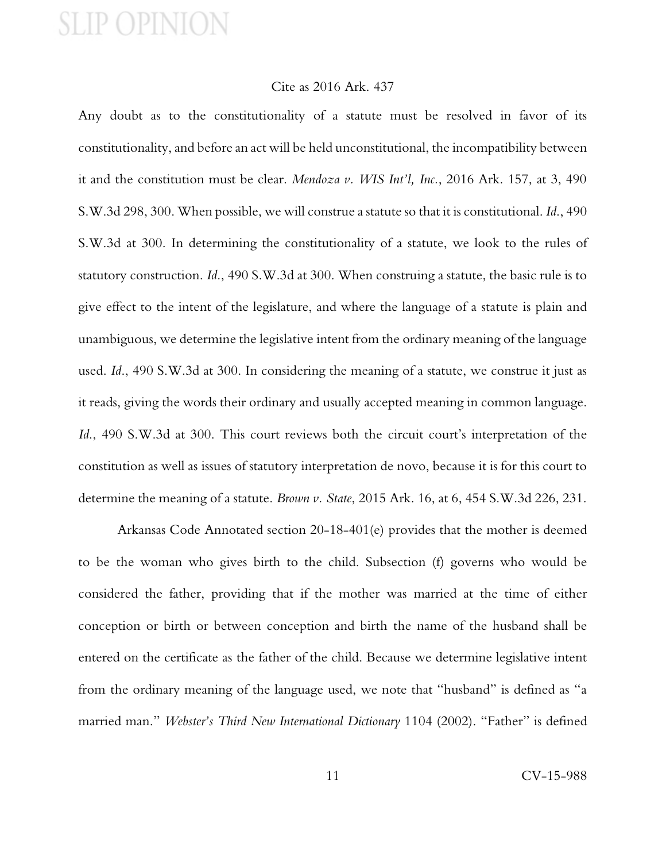#### Cite as 2016 Ark. 437

Any doubt as to the constitutionality of a statute must be resolved in favor of its constitutionality, and before an act will be held unconstitutional, the incompatibility between it and the constitution must be clear. *Mendoza v. WIS Int'l, Inc.*, 2016 Ark. 157, at 3, 490 S.W.3d 298, 300. When possible, we will construe a statute so that it is constitutional. *Id*., 490 S.W.3d at 300. In determining the constitutionality of a statute, we look to the rules of statutory construction. *Id*., 490 S.W.3d at 300. When construing a statute, the basic rule is to give effect to the intent of the legislature, and where the language of a statute is plain and unambiguous, we determine the legislative intent from the ordinary meaning of the language used. *Id*., 490 S.W.3d at 300. In considering the meaning of a statute, we construe it just as it reads, giving the words their ordinary and usually accepted meaning in common language. *Id*., 490 S.W.3d at 300. This court reviews both the circuit court's interpretation of the constitution as well as issues of statutory interpretation de novo, because it is for this court to determine the meaning of a statute. *Brown v. State*, 2015 Ark. 16, at 6, 454 S.W.3d 226, 231.

Arkansas Code Annotated section 20-18-401(e) provides that the mother is deemed to be the woman who gives birth to the child. Subsection (f) governs who would be considered the father, providing that if the mother was married at the time of either conception or birth or between conception and birth the name of the husband shall be entered on the certificate as the father of the child. Because we determine legislative intent from the ordinary meaning of the language used, we note that "husband" is defined as "a married man." *Webster's Third New International Dictionary* 1104 (2002). "Father" is defined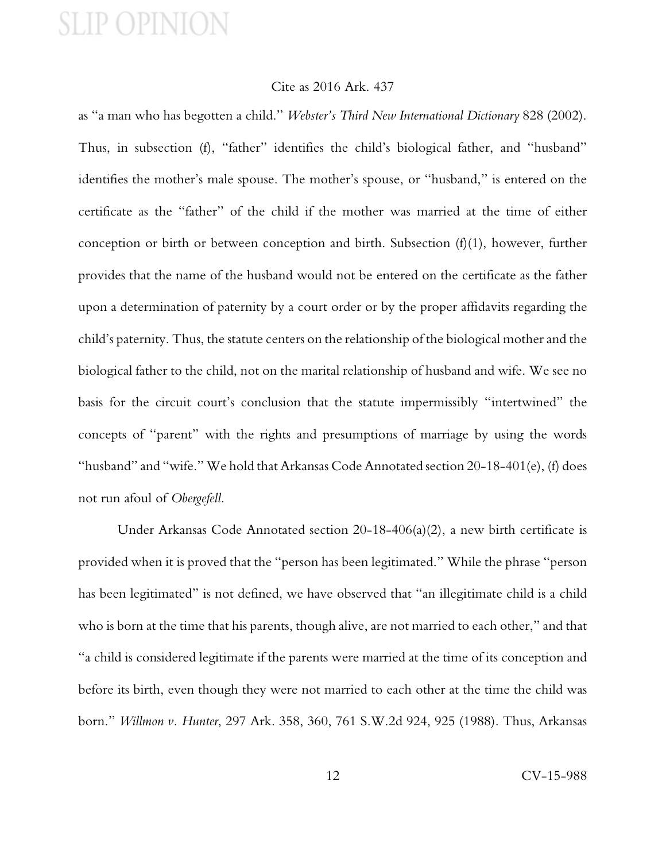#### Cite as 2016 Ark. 437

as "a man who has begotten a child." *Webster's Third New International Dictionary* 828 (2002). Thus, in subsection (f), "father" identifies the child's biological father, and "husband" identifies the mother's male spouse. The mother's spouse, or "husband," is entered on the certificate as the "father" of the child if the mother was married at the time of either conception or birth or between conception and birth. Subsection (f)(1), however, further provides that the name of the husband would not be entered on the certificate as the father upon a determination of paternity by a court order or by the proper affidavits regarding the child's paternity. Thus, the statute centers on the relationship of the biological mother and the biological father to the child, not on the marital relationship of husband and wife. We see no basis for the circuit court's conclusion that the statute impermissibly "intertwined" the concepts of "parent" with the rights and presumptions of marriage by using the words "husband" and "wife." We hold that Arkansas Code Annotated section 20-18-401(e), (f) does not run afoul of *Obergefell*.

Under Arkansas Code Annotated section 20-18-406(a)(2), a new birth certificate is provided when it is proved that the "person has been legitimated." While the phrase "person has been legitimated" is not defined, we have observed that "an illegitimate child is a child who is born at the time that his parents, though alive, are not married to each other," and that "a child is considered legitimate if the parents were married at the time of its conception and before its birth, even though they were not married to each other at the time the child was born." *Willmon v. Hunter*, 297 Ark. 358, 360, 761 S.W.2d 924, 925 (1988). Thus, Arkansas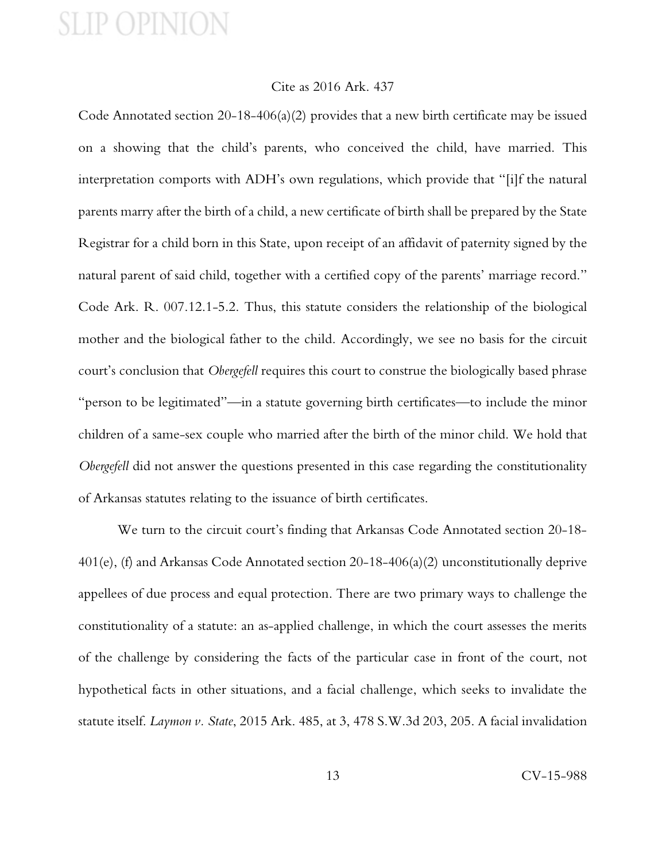### Cite as 2016 Ark. 437

Code Annotated section 20-18-406(a)(2) provides that a new birth certificate may be issued on a showing that the child's parents, who conceived the child, have married. This interpretation comports with ADH's own regulations, which provide that "[i]f the natural parents marry after the birth of a child, a new certificate of birth shall be prepared by the State Registrar for a child born in this State, upon receipt of an affidavit of paternity signed by the natural parent of said child, together with a certified copy of the parents' marriage record." Code Ark. R. 007.12.1-5.2. Thus, this statute considers the relationship of the biological mother and the biological father to the child. Accordingly, we see no basis for the circuit court's conclusion that *Obergefell* requires this court to construe the biologically based phrase "person to be legitimated"—in a statute governing birth certificates—to include the minor children of a same-sex couple who married after the birth of the minor child. We hold that *Obergefell* did not answer the questions presented in this case regarding the constitutionality of Arkansas statutes relating to the issuance of birth certificates.

We turn to the circuit court's finding that Arkansas Code Annotated section 20-18- 401(e), (f) and Arkansas Code Annotated section 20-18-406(a)(2) unconstitutionally deprive appellees of due process and equal protection. There are two primary ways to challenge the constitutionality of a statute: an as-applied challenge, in which the court assesses the merits of the challenge by considering the facts of the particular case in front of the court, not hypothetical facts in other situations, and a facial challenge, which seeks to invalidate the statute itself. *Laymon v. State*, 2015 Ark. 485, at 3, 478 S.W.3d 203, 205. A facial invalidation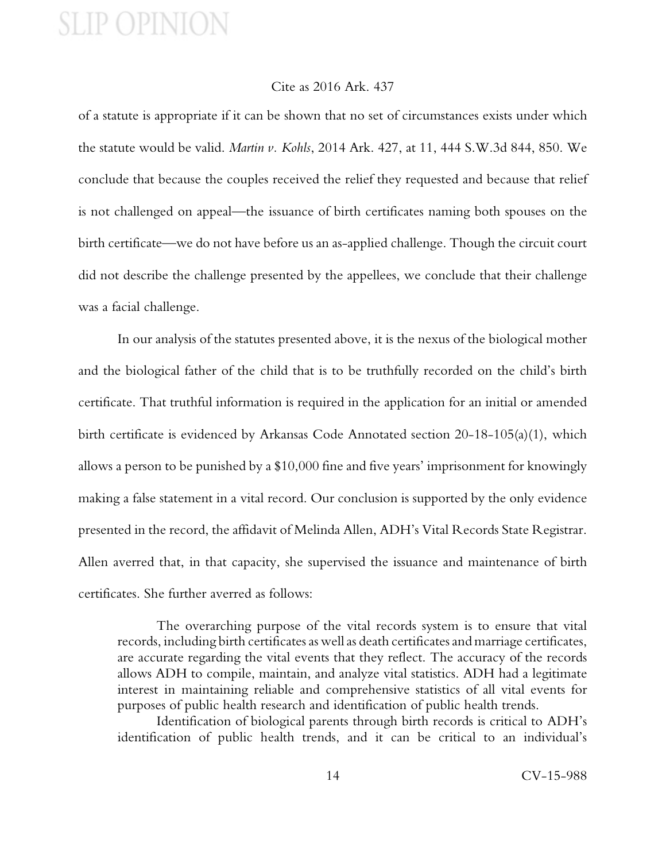### Cite as 2016 Ark. 437

of a statute is appropriate if it can be shown that no set of circumstances exists under which the statute would be valid. *Martin v. Kohls*, 2014 Ark. 427, at 11, 444 S.W.3d 844, 850. We conclude that because the couples received the relief they requested and because that relief is not challenged on appeal—the issuance of birth certificates naming both spouses on the birth certificate—we do not have before us an as-applied challenge. Though the circuit court did not describe the challenge presented by the appellees, we conclude that their challenge was a facial challenge.

In our analysis of the statutes presented above, it is the nexus of the biological mother and the biological father of the child that is to be truthfully recorded on the child's birth certificate. That truthful information is required in the application for an initial or amended birth certificate is evidenced by Arkansas Code Annotated section 20-18-105(a)(1), which allows a person to be punished by a \$10,000 fine and five years' imprisonment for knowingly making a false statement in a vital record. Our conclusion is supported by the only evidence presented in the record, the affidavit of Melinda Allen, ADH's Vital Records State Registrar. Allen averred that, in that capacity, she supervised the issuance and maintenance of birth certificates. She further averred as follows:

The overarching purpose of the vital records system is to ensure that vital records, including birth certificates as well as death certificates and marriage certificates, are accurate regarding the vital events that they reflect. The accuracy of the records allows ADH to compile, maintain, and analyze vital statistics. ADH had a legitimate interest in maintaining reliable and comprehensive statistics of all vital events for purposes of public health research and identification of public health trends.

Identification of biological parents through birth records is critical to ADH's identification of public health trends, and it can be critical to an individual's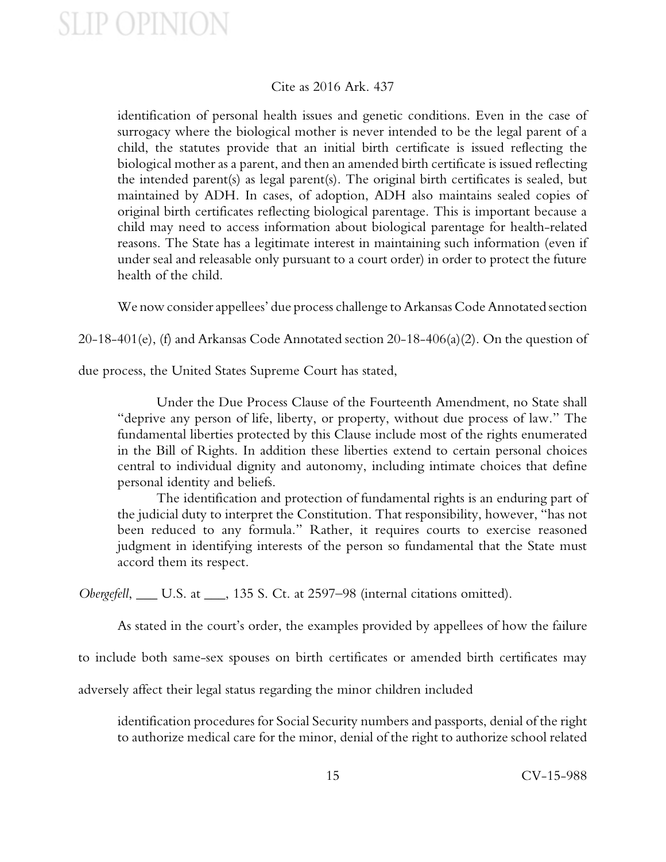### Cite as 2016 Ark. 437

identification of personal health issues and genetic conditions. Even in the case of surrogacy where the biological mother is never intended to be the legal parent of a child, the statutes provide that an initial birth certificate is issued reflecting the biological mother as a parent, and then an amended birth certificate is issued reflecting the intended parent(s) as legal parent(s). The original birth certificates is sealed, but maintained by ADH. In cases, of adoption, ADH also maintains sealed copies of original birth certificates reflecting biological parentage. This is important because a child may need to access information about biological parentage for health-related reasons. The State has a legitimate interest in maintaining such information (even if under seal and releasable only pursuant to a court order) in order to protect the future health of the child.

We now consider appellees' due process challenge to Arkansas Code Annotated section

20-18-401(e), (f) and Arkansas Code Annotated section 20-18-406(a)(2). On the question of

due process, the United States Supreme Court has stated,

Under the Due Process Clause of the Fourteenth Amendment, no State shall "deprive any person of life, liberty, or property, without due process of law." The fundamental liberties protected by this Clause include most of the rights enumerated in the Bill of Rights. In addition these liberties extend to certain personal choices central to individual dignity and autonomy, including intimate choices that define personal identity and beliefs.

The identification and protection of fundamental rights is an enduring part of the judicial duty to interpret the Constitution. That responsibility, however, "has not been reduced to any formula." Rather, it requires courts to exercise reasoned judgment in identifying interests of the person so fundamental that the State must accord them its respect.

*Obergefell*, \_\_\_ U.S. at \_\_\_, 135 S. Ct. at 2597–98 (internal citations omitted).

As stated in the court's order, the examples provided by appellees of how the failure

to include both same-sex spouses on birth certificates or amended birth certificates may

adversely affect their legal status regarding the minor children included

identification procedures for Social Security numbers and passports, denial of the right to authorize medical care for the minor, denial of the right to authorize school related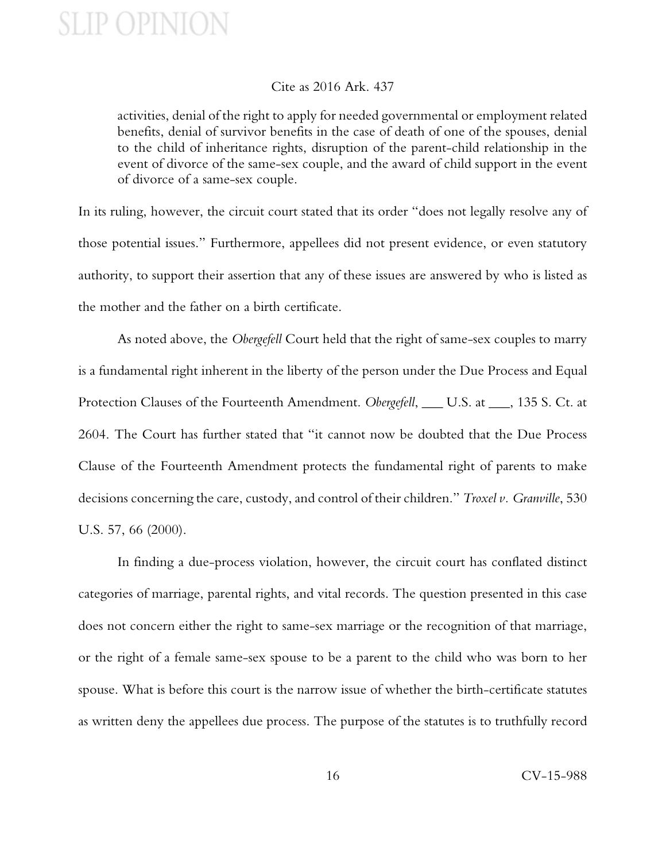### Cite as 2016 Ark. 437

activities, denial of the right to apply for needed governmental or employment related benefits, denial of survivor benefits in the case of death of one of the spouses, denial to the child of inheritance rights, disruption of the parent-child relationship in the event of divorce of the same-sex couple, and the award of child support in the event of divorce of a same-sex couple.

In its ruling, however, the circuit court stated that its order "does not legally resolve any of those potential issues." Furthermore, appellees did not present evidence, or even statutory authority, to support their assertion that any of these issues are answered by who is listed as the mother and the father on a birth certificate.

As noted above, the *Obergefell* Court held that the right of same-sex couples to marry is a fundamental right inherent in the liberty of the person under the Due Process and Equal Protection Clauses of the Fourteenth Amendment. *Obergefell*, \_\_\_ U.S. at \_\_\_, 135 S. Ct. at 2604. The Court has further stated that "it cannot now be doubted that the Due Process Clause of the Fourteenth Amendment protects the fundamental right of parents to make decisions concerning the care, custody, and control of their children." *Troxel v. Granville*, 530 U.S. 57, 66 (2000).

In finding a due-process violation, however, the circuit court has conflated distinct categories of marriage, parental rights, and vital records. The question presented in this case does not concern either the right to same-sex marriage or the recognition of that marriage, or the right of a female same-sex spouse to be a parent to the child who was born to her spouse. What is before this court is the narrow issue of whether the birth-certificate statutes as written deny the appellees due process. The purpose of the statutes is to truthfully record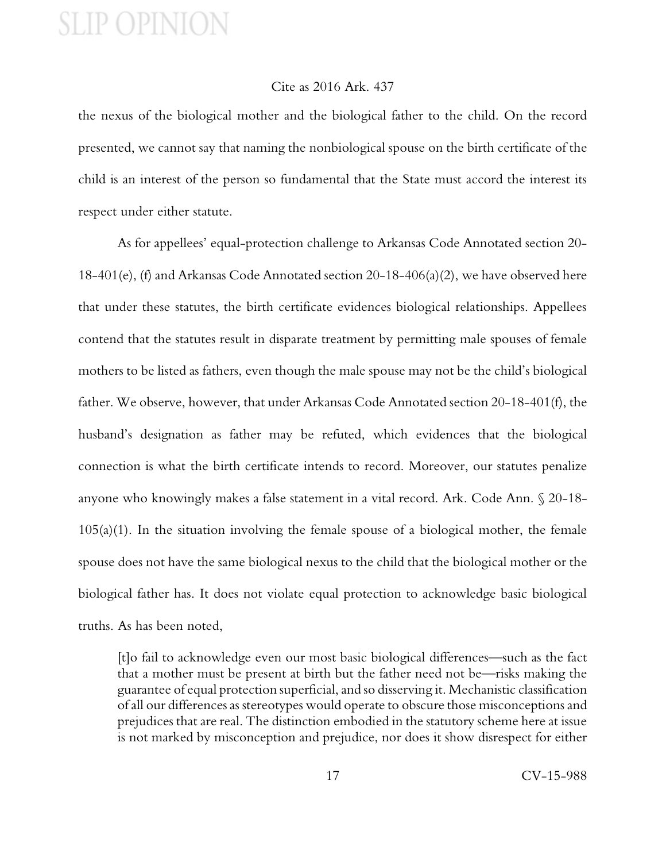#### Cite as 2016 Ark. 437

the nexus of the biological mother and the biological father to the child. On the record presented, we cannot say that naming the nonbiological spouse on the birth certificate of the child is an interest of the person so fundamental that the State must accord the interest its respect under either statute.

As for appellees' equal-protection challenge to Arkansas Code Annotated section 20- 18-401(e), (f) and Arkansas Code Annotated section 20-18-406(a)(2), we have observed here that under these statutes, the birth certificate evidences biological relationships. Appellees contend that the statutes result in disparate treatment by permitting male spouses of female mothers to be listed as fathers, even though the male spouse may not be the child's biological father. We observe, however, that under Arkansas Code Annotated section 20-18-401(f), the husband's designation as father may be refuted, which evidences that the biological connection is what the birth certificate intends to record. Moreover, our statutes penalize anyone who knowingly makes a false statement in a vital record. Ark. Code Ann. § 20-18-  $105(a)(1)$ . In the situation involving the female spouse of a biological mother, the female spouse does not have the same biological nexus to the child that the biological mother or the biological father has. It does not violate equal protection to acknowledge basic biological truths. As has been noted,

[t]o fail to acknowledge even our most basic biological differences—such as the fact that a mother must be present at birth but the father need not be—risks making the guarantee of equal protection superficial, and so disserving it. Mechanistic classification of all our differences as stereotypes would operate to obscure those misconceptions and prejudices that are real. The distinction embodied in the statutory scheme here at issue is not marked by misconception and prejudice, nor does it show disrespect for either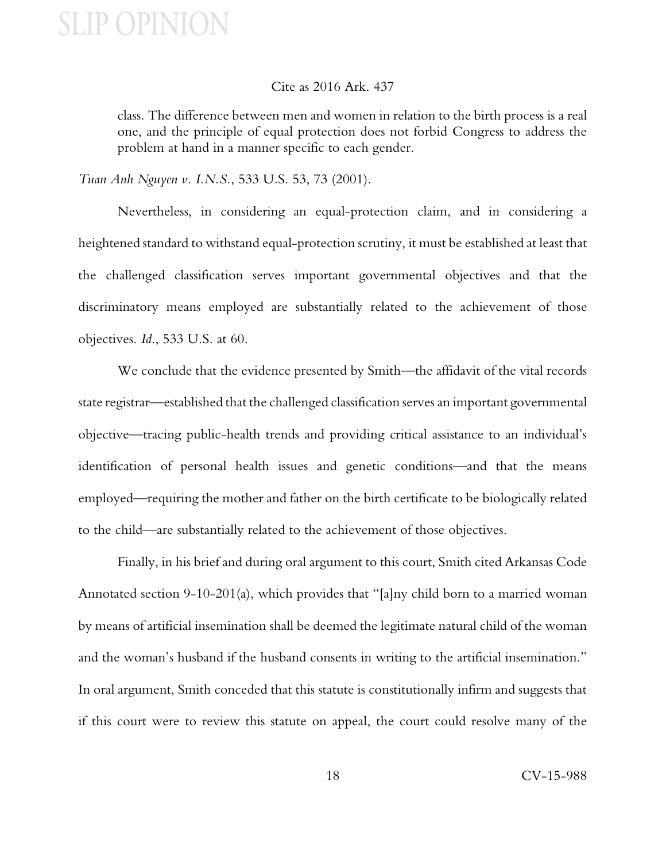#### Cite as 2016 Ark. 437

class. The difference between men and women in relation to the birth process is a real one, and the principle of equal protection does not forbid Congress to address the problem at hand in a manner specific to each gender.

*Tuan Anh Nguyen v. I.N.S.*, 533 U.S. 53, 73 (2001).

Nevertheless, in considering an equal-protection claim, and in considering a heightened standard to withstand equal-protection scrutiny, it must be established at least that the challenged classification serves important governmental objectives and that the discriminatory means employed are substantially related to the achievement of those objectives. *Id*., 533 U.S. at 60.

We conclude that the evidence presented by Smith—the affidavit of the vital records state registrar—established that the challenged classification serves an important governmental objective—tracing public-health trends and providing critical assistance to an individual's identification of personal health issues and genetic conditions—and that the means employed—requiring the mother and father on the birth certificate to be biologically related to the child—are substantially related to the achievement of those objectives.

Finally, in his brief and during oral argument to this court, Smith cited Arkansas Code Annotated section 9-10-201(a), which provides that "[a]ny child born to a married woman by means of artificial insemination shall be deemed the legitimate natural child of the woman and the woman's husband if the husband consents in writing to the artificial insemination." In oral argument, Smith conceded that this statute is constitutionally infirm and suggests that if this court were to review this statute on appeal, the court could resolve many of the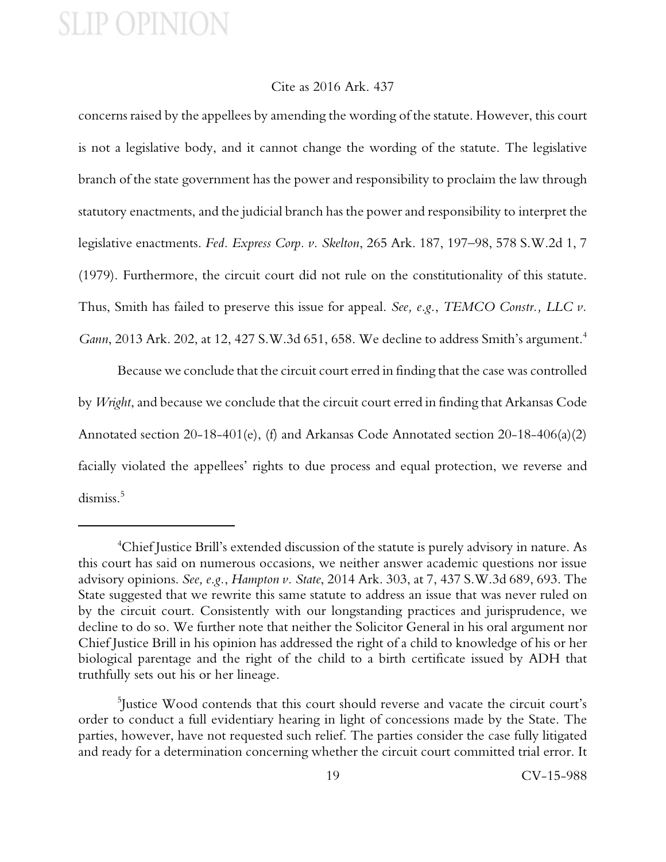#### Cite as 2016 Ark. 437

concerns raised by the appellees by amending the wording of the statute. However, this court is not a legislative body, and it cannot change the wording of the statute. The legislative branch of the state government has the power and responsibility to proclaim the law through statutory enactments, and the judicial branch has the power and responsibility to interpret the legislative enactments. *Fed. Express Corp. v. Skelton*, 265 Ark. 187, 197–98, 578 S.W.2d 1, 7 (1979). Furthermore, the circuit court did not rule on the constitutionality of this statute. Thus, Smith has failed to preserve this issue for appeal. *See, e.g.*, *TEMCO Constr., LLC v. Gann*, 2013 Ark. 202, at 12, 427 S.W.3d 651, 658. We decline to address Smith's argument.<sup>4</sup>

Because we conclude that the circuit court erred in finding that the case was controlled by *Wright*, and because we conclude that the circuit court erred in finding that Arkansas Code Annotated section 20-18-401(e), (f) and Arkansas Code Annotated section 20-18-406(a)(2) facially violated the appellees' rights to due process and equal protection, we reverse and dismiss.<sup>5</sup>

<sup>&</sup>lt;sup>4</sup>Chief Justice Brill's extended discussion of the statute is purely advisory in nature. As this court has said on numerous occasions, we neither answer academic questions nor issue advisory opinions. *See, e.g.*, *Hampton v. State*, 2014 Ark. 303, at 7, 437 S.W.3d 689, 693. The State suggested that we rewrite this same statute to address an issue that was never ruled on by the circuit court. Consistently with our longstanding practices and jurisprudence, we decline to do so. We further note that neither the Solicitor General in his oral argument nor Chief Justice Brill in his opinion has addressed the right of a child to knowledge of his or her biological parentage and the right of the child to a birth certificate issued by ADH that truthfully sets out his or her lineage.

<sup>5</sup> Justice Wood contends that this court should reverse and vacate the circuit court's order to conduct a full evidentiary hearing in light of concessions made by the State. The parties, however, have not requested such relief. The parties consider the case fully litigated and ready for a determination concerning whether the circuit court committed trial error. It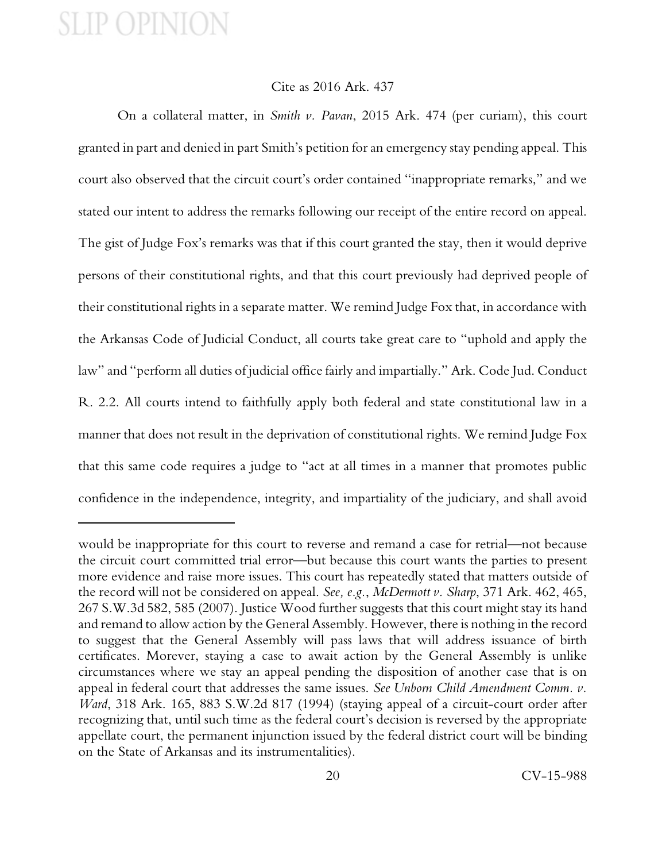### Cite as 2016 Ark. 437

On a collateral matter, in *Smith v. Pavan*, 2015 Ark. 474 (per curiam), this court granted in part and denied in part Smith's petition for an emergency stay pending appeal. This court also observed that the circuit court's order contained "inappropriate remarks," and we stated our intent to address the remarks following our receipt of the entire record on appeal. The gist of Judge Fox's remarks was that if this court granted the stay, then it would deprive persons of their constitutional rights, and that this court previously had deprived people of their constitutional rights in a separate matter. We remind Judge Fox that, in accordance with the Arkansas Code of Judicial Conduct, all courts take great care to "uphold and apply the law" and "perform all duties of judicial office fairly and impartially." Ark. Code Jud. Conduct R. 2.2. All courts intend to faithfully apply both federal and state constitutional law in a manner that does not result in the deprivation of constitutional rights. We remind Judge Fox that this same code requires a judge to "act at all times in a manner that promotes public confidence in the independence, integrity, and impartiality of the judiciary, and shall avoid

would be inappropriate for this court to reverse and remand a case for retrial—not because the circuit court committed trial error—but because this court wants the parties to present more evidence and raise more issues. This court has repeatedly stated that matters outside of the record will not be considered on appeal. *See, e.g.*, *McDermott v. Sharp*, 371 Ark. 462, 465, 267 S.W.3d 582, 585 (2007). Justice Wood further suggests that this court might stay its hand and remand to allow action by the General Assembly. However, there is nothing in the record to suggest that the General Assembly will pass laws that will address issuance of birth certificates. Morever, staying a case to await action by the General Assembly is unlike circumstances where we stay an appeal pending the disposition of another case that is on appeal in federal court that addresses the same issues. *See Unborn Child Amendment Comm. v. Ward*, 318 Ark. 165, 883 S.W.2d 817 (1994) (staying appeal of a circuit-court order after recognizing that, until such time as the federal court's decision is reversed by the appropriate appellate court, the permanent injunction issued by the federal district court will be binding on the State of Arkansas and its instrumentalities).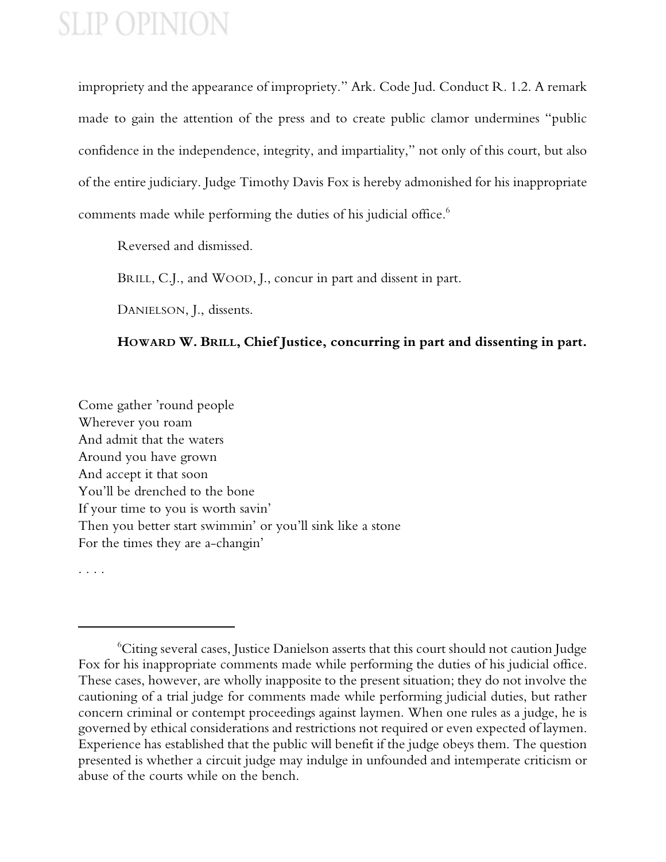impropriety and the appearance of impropriety." Ark. Code Jud. Conduct R. 1.2. A remark made to gain the attention of the press and to create public clamor undermines "public confidence in the independence, integrity, and impartiality," not only of this court, but also of the entire judiciary. Judge Timothy Davis Fox is hereby admonished for his inappropriate comments made while performing the duties of his judicial office.<sup>6</sup>

Reversed and dismissed.

BRILL, C.J., and WOOD, J., concur in part and dissent in part.

DANIELSON, J., dissents.

### **HOWARD W. BRILL, Chief Justice, concurring in part and dissenting in part.**

Come gather 'round people Wherever you roam And admit that the waters Around you have grown And accept it that soon You'll be drenched to the bone If your time to you is worth savin' Then you better start swimmin' or you'll sink like a stone For the times they are a-changin'

. . . .

<sup>6</sup>Citing several cases, Justice Danielson asserts that this court should not caution Judge Fox for his inappropriate comments made while performing the duties of his judicial office. These cases, however, are wholly inapposite to the present situation; they do not involve the cautioning of a trial judge for comments made while performing judicial duties, but rather concern criminal or contempt proceedings against laymen. When one rules as a judge, he is governed by ethical considerations and restrictions not required or even expected of laymen. Experience has established that the public will benefit if the judge obeys them. The question presented is whether a circuit judge may indulge in unfounded and intemperate criticism or abuse of the courts while on the bench.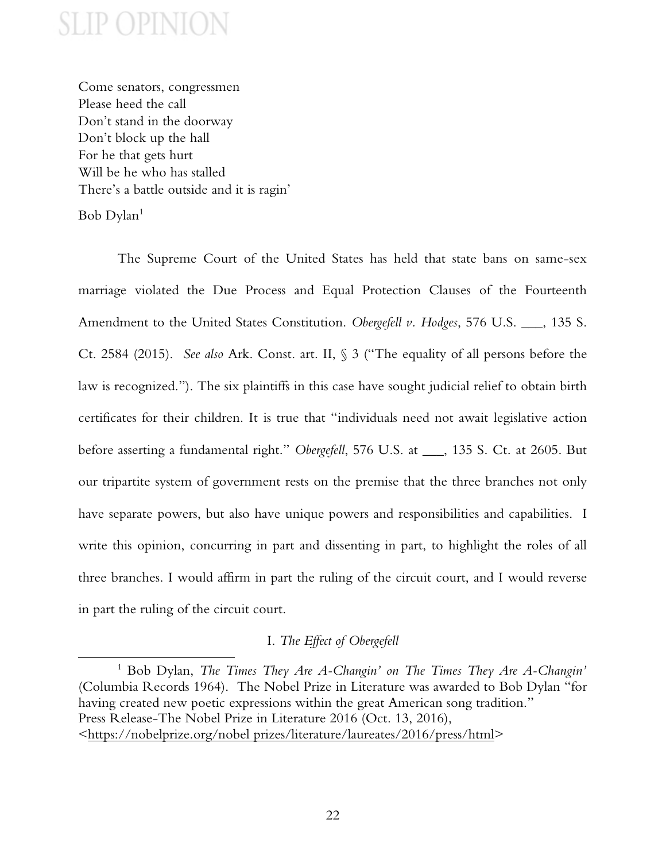Come senators, congressmen Please heed the call Don't stand in the doorway Don't block up the hall For he that gets hurt Will be he who has stalled There's a battle outside and it is ragin'

 $Bob$   $D$ ylan $<sup>1</sup>$ </sup>

The Supreme Court of the United States has held that state bans on same-sex marriage violated the Due Process and Equal Protection Clauses of the Fourteenth Amendment to the United States Constitution. *Obergefell v. Hodges*, 576 U.S. \_\_\_, 135 S. Ct. 2584 (2015). *See also* Ark. Const. art. II, § 3 ("The equality of all persons before the law is recognized."). The six plaintiffs in this case have sought judicial relief to obtain birth certificates for their children. It is true that "individuals need not await legislative action before asserting a fundamental right." *Obergefell*, 576 U.S. at \_\_\_, 135 S. Ct. at 2605. But our tripartite system of government rests on the premise that the three branches not only have separate powers, but also have unique powers and responsibilities and capabilities. I write this opinion, concurring in part and dissenting in part, to highlight the roles of all three branches. I would affirm in part the ruling of the circuit court, and I would reverse in part the ruling of the circuit court.

### I. *The Effect of Obergefell*

<sup>1</sup> Bob Dylan, *The Times They Are A-Changin' on The Times They Are A-Changin'* (Columbia Records 1964). The Nobel Prize in Literature was awarded to Bob Dylan "for having created new poetic expressions within the great American song tradition." Press Release-The Nobel Prize in Literature 2016 (Oct. 13, 2016), <https://nobelprize.org/nobel prizes/literature/laureates/2016/press/html>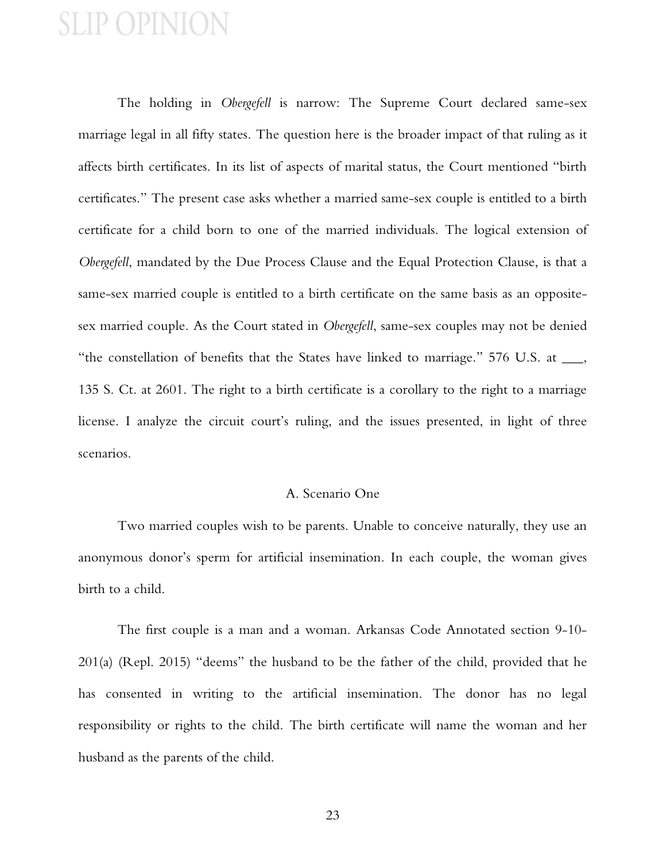The holding in *Obergefell* is narrow: The Supreme Court declared same-sex marriage legal in all fifty states. The question here is the broader impact of that ruling as it affects birth certificates. In its list of aspects of marital status, the Court mentioned "birth certificates." The present case asks whether a married same-sex couple is entitled to a birth certificate for a child born to one of the married individuals. The logical extension of *Obergefell*, mandated by the Due Process Clause and the Equal Protection Clause, is that a same-sex married couple is entitled to a birth certificate on the same basis as an oppositesex married couple. As the Court stated in *Obergefell*, same-sex couples may not be denied "the constellation of benefits that the States have linked to marriage." 576 U.S. at \_\_\_, 135 S. Ct. at 2601. The right to a birth certificate is a corollary to the right to a marriage license. I analyze the circuit court's ruling, and the issues presented, in light of three scenarios.

### A. Scenario One

Two married couples wish to be parents. Unable to conceive naturally, they use an anonymous donor's sperm for artificial insemination. In each couple, the woman gives birth to a child.

The first couple is a man and a woman. Arkansas Code Annotated section 9-10- 201(a) (Repl. 2015) "deems" the husband to be the father of the child, provided that he has consented in writing to the artificial insemination. The donor has no legal responsibility or rights to the child. The birth certificate will name the woman and her husband as the parents of the child.

23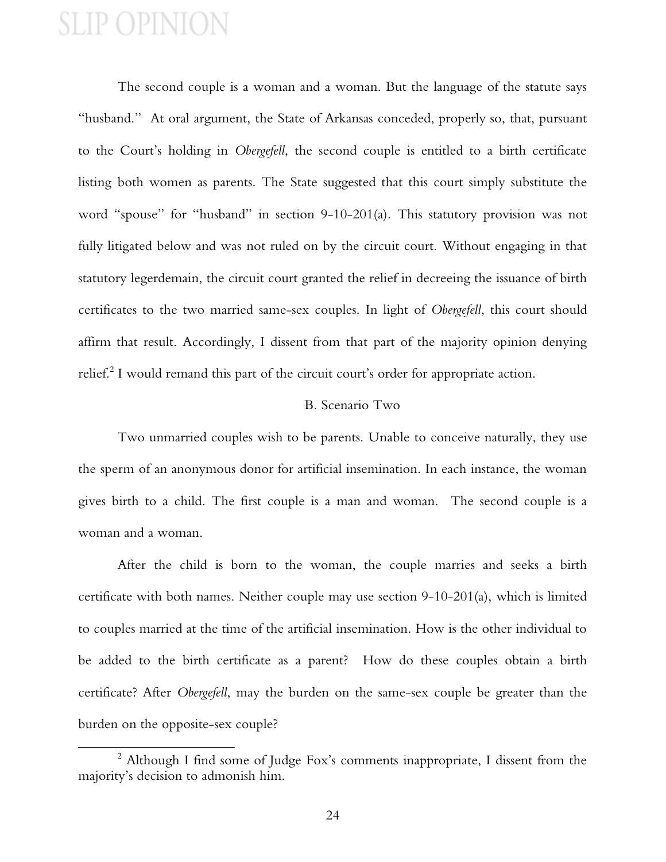The second couple is a woman and a woman. But the language of the statute says "husband." At oral argument, the State of Arkansas conceded, properly so, that, pursuant to the Court's holding in *Obergefell*, the second couple is entitled to a birth certificate listing both women as parents. The State suggested that this court simply substitute the word "spouse" for "husband" in section 9-10-201(a). This statutory provision was not fully litigated below and was not ruled on by the circuit court. Without engaging in that statutory legerdemain, the circuit court granted the relief in decreeing the issuance of birth certificates to the two married same-sex couples. In light of *Obergefell*, this court should affirm that result. Accordingly, I dissent from that part of the majority opinion denying relief.<sup>2</sup> I would remand this part of the circuit court's order for appropriate action.

#### B. Scenario Two

Two unmarried couples wish to be parents. Unable to conceive naturally, they use the sperm of an anonymous donor for artificial insemination. In each instance, the woman gives birth to a child. The first couple is a man and woman. The second couple is a woman and a woman.

After the child is born to the woman, the couple marries and seeks a birth certificate with both names. Neither couple may use section 9-10-201(a), which is limited to couples married at the time of the artificial insemination. How is the other individual to be added to the birth certificate as a parent? How do these couples obtain a birth certificate? After *Obergefell*, may the burden on the same-sex couple be greater than the burden on the opposite-sex couple?

<sup>&</sup>lt;sup>2</sup> Although I find some of Judge Fox's comments inappropriate, I dissent from the majority's decision to admonish him.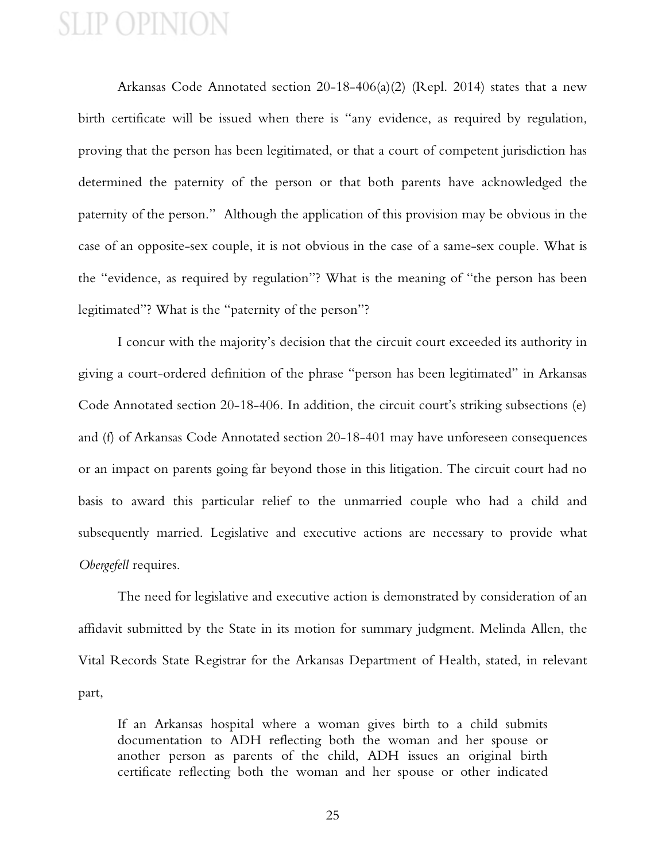Arkansas Code Annotated section 20-18-406(a)(2) (Repl. 2014) states that a new birth certificate will be issued when there is "any evidence, as required by regulation, proving that the person has been legitimated, or that a court of competent jurisdiction has determined the paternity of the person or that both parents have acknowledged the paternity of the person." Although the application of this provision may be obvious in the case of an opposite-sex couple, it is not obvious in the case of a same-sex couple. What is the "evidence, as required by regulation"? What is the meaning of "the person has been legitimated"? What is the "paternity of the person"?

I concur with the majority's decision that the circuit court exceeded its authority in giving a court-ordered definition of the phrase "person has been legitimated" in Arkansas Code Annotated section 20-18-406. In addition, the circuit court's striking subsections (e) and (f) of Arkansas Code Annotated section 20-18-401 may have unforeseen consequences or an impact on parents going far beyond those in this litigation. The circuit court had no basis to award this particular relief to the unmarried couple who had a child and subsequently married. Legislative and executive actions are necessary to provide what *Obergefell* requires.

The need for legislative and executive action is demonstrated by consideration of an affidavit submitted by the State in its motion for summary judgment. Melinda Allen, the Vital Records State Registrar for the Arkansas Department of Health, stated, in relevant part,

If an Arkansas hospital where a woman gives birth to a child submits documentation to ADH reflecting both the woman and her spouse or another person as parents of the child, ADH issues an original birth certificate reflecting both the woman and her spouse or other indicated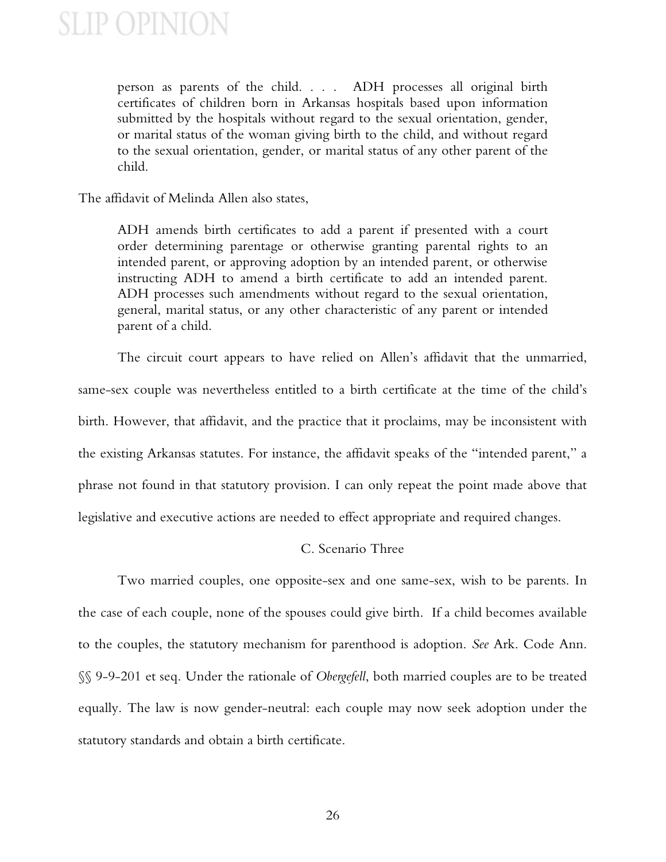person as parents of the child. . . . ADH processes all original birth certificates of children born in Arkansas hospitals based upon information submitted by the hospitals without regard to the sexual orientation, gender, or marital status of the woman giving birth to the child, and without regard to the sexual orientation, gender, or marital status of any other parent of the child.

The affidavit of Melinda Allen also states,

ADH amends birth certificates to add a parent if presented with a court order determining parentage or otherwise granting parental rights to an intended parent, or approving adoption by an intended parent, or otherwise instructing ADH to amend a birth certificate to add an intended parent. ADH processes such amendments without regard to the sexual orientation, general, marital status, or any other characteristic of any parent or intended parent of a child.

The circuit court appears to have relied on Allen's affidavit that the unmarried, same-sex couple was nevertheless entitled to a birth certificate at the time of the child's birth. However, that affidavit, and the practice that it proclaims, may be inconsistent with the existing Arkansas statutes. For instance, the affidavit speaks of the "intended parent," a phrase not found in that statutory provision. I can only repeat the point made above that legislative and executive actions are needed to effect appropriate and required changes.

#### C. Scenario Three

Two married couples, one opposite-sex and one same-sex, wish to be parents. In the case of each couple, none of the spouses could give birth. If a child becomes available to the couples, the statutory mechanism for parenthood is adoption. *See* Ark. Code Ann. §§ 9-9-201 et seq. Under the rationale of *Obergefell*, both married couples are to be treated equally. The law is now gender-neutral: each couple may now seek adoption under the statutory standards and obtain a birth certificate.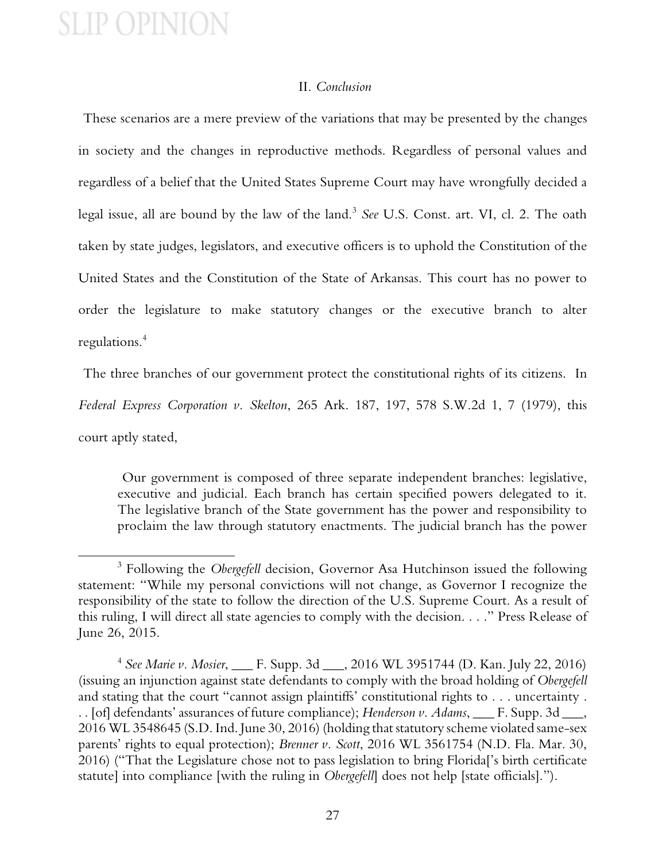#### II. *Conclusion*

These scenarios are a mere preview of the variations that may be presented by the changes in society and the changes in reproductive methods. Regardless of personal values and regardless of a belief that the United States Supreme Court may have wrongfully decided a legal issue, all are bound by the law of the land.<sup>3</sup> *See* U.S. Const. art. VI, cl. 2. The oath taken by state judges, legislators, and executive officers is to uphold the Constitution of the United States and the Constitution of the State of Arkansas. This court has no power to order the legislature to make statutory changes or the executive branch to alter regulations.<sup>4</sup>

The three branches of our government protect the constitutional rights of its citizens. In *Federal Express Corporation v. Skelton*, 265 Ark. 187, 197, 578 S.W.2d 1, 7 (1979), this court aptly stated,

Our government is composed of three separate independent branches: legislative, executive and judicial. Each branch has certain specified powers delegated to it. The legislative branch of the State government has the power and responsibility to proclaim the law through statutory enactments. The judicial branch has the power

<sup>3</sup> Following the *Obergefell* decision, Governor Asa Hutchinson issued the following statement: "While my personal convictions will not change, as Governor I recognize the responsibility of the state to follow the direction of the U.S. Supreme Court. As a result of this ruling, I will direct all state agencies to comply with the decision. . . ." Press Release of June 26, 2015.

<sup>4</sup> *See Marie v. Mosier*, \_\_\_ F. Supp. 3d \_\_\_, 2016 WL 3951744 (D. Kan. July 22, 2016) (issuing an injunction against state defendants to comply with the broad holding of *Obergefell* and stating that the court "cannot assign plaintiffs' constitutional rights to . . . uncertainty . . . [of] defendants' assurances of future compliance); *Henderson v. Adams*, \_\_\_ F. Supp. 3d \_\_\_, 2016 WL 3548645 (S.D. Ind. June 30, 2016) (holding that statutory scheme violated same-sex parents' rights to equal protection); *Brenner v. Scott*, 2016 WL 3561754 (N.D. Fla. Mar. 30, 2016) ("That the Legislature chose not to pass legislation to bring Florida['s birth certificate statute] into compliance [with the ruling in *Obergefell*] does not help [state officials].").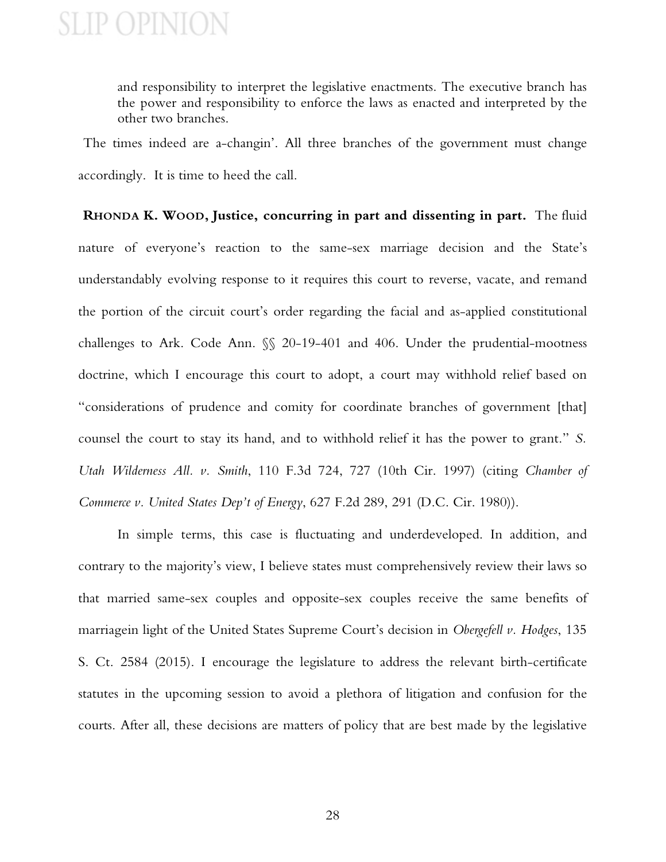and responsibility to interpret the legislative enactments. The executive branch has the power and responsibility to enforce the laws as enacted and interpreted by the other two branches.

The times indeed are a-changin'. All three branches of the government must change accordingly. It is time to heed the call.

**RHONDA K. WOOD, Justice, concurring in part and dissenting in part.** The fluid nature of everyone's reaction to the same-sex marriage decision and the State's understandably evolving response to it requires this court to reverse, vacate, and remand the portion of the circuit court's order regarding the facial and as-applied constitutional challenges to Ark. Code Ann. §§ 20-19-401 and 406. Under the prudential-mootness doctrine, which I encourage this court to adopt, a court may withhold relief based on "considerations of prudence and comity for coordinate branches of government [that] counsel the court to stay its hand, and to withhold relief it has the power to grant." *S. Utah Wilderness All. v. Smith*, 110 F.3d 724, 727 (10th Cir. 1997) (citing *Chamber of Commerce v. United States Dep't of Energy*, 627 F.2d 289, 291 (D.C. Cir. 1980)).

In simple terms, this case is fluctuating and underdeveloped. In addition, and contrary to the majority's view, I believe states must comprehensively review their laws so that married same-sex couples and opposite-sex couples receive the same benefits of marriagein light of the United States Supreme Court's decision in *Obergefell v. Hodges*, 135 S. Ct. 2584 (2015). I encourage the legislature to address the relevant birth-certificate statutes in the upcoming session to avoid a plethora of litigation and confusion for the courts. After all, these decisions are matters of policy that are best made by the legislative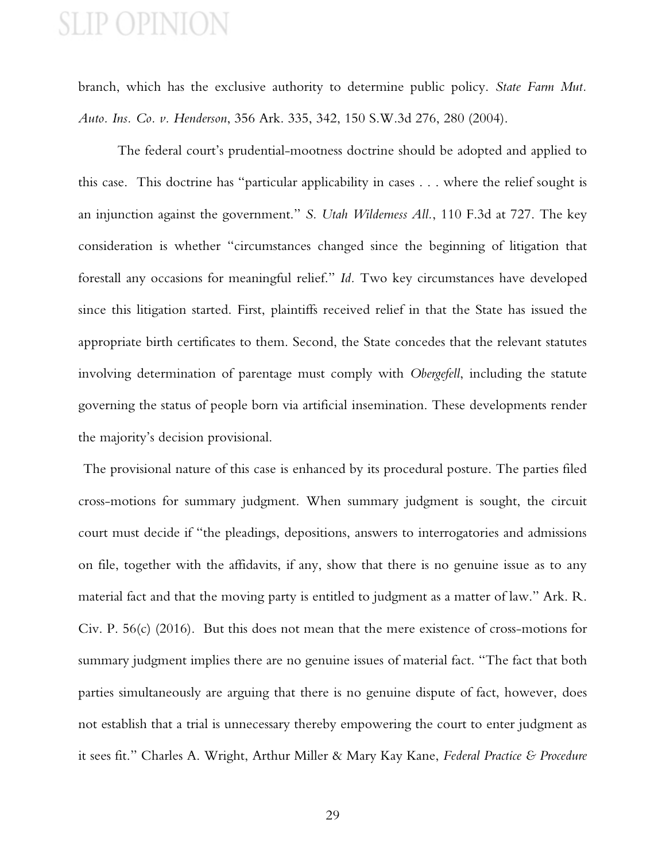branch, which has the exclusive authority to determine public policy. *State Farm Mut. Auto. Ins. Co. v. Henderson*, 356 Ark. 335, 342, 150 S.W.3d 276, 280 (2004).

The federal court's prudential-mootness doctrine should be adopted and applied to this case. This doctrine has "particular applicability in cases . . . where the relief sought is an injunction against the government." *S. Utah Wilderness All.*, 110 F.3d at 727. The key consideration is whether "circumstances changed since the beginning of litigation that forestall any occasions for meaningful relief." *Id.* Two key circumstances have developed since this litigation started. First, plaintiffs received relief in that the State has issued the appropriate birth certificates to them. Second, the State concedes that the relevant statutes involving determination of parentage must comply with *Obergefell*, including the statute governing the status of people born via artificial insemination. These developments render the majority's decision provisional.

The provisional nature of this case is enhanced by its procedural posture. The parties filed cross-motions for summary judgment. When summary judgment is sought, the circuit court must decide if "the pleadings, depositions, answers to interrogatories and admissions on file, together with the affidavits, if any, show that there is no genuine issue as to any material fact and that the moving party is entitled to judgment as a matter of law." Ark. R. Civ. P. 56(c) (2016). But this does not mean that the mere existence of cross-motions for summary judgment implies there are no genuine issues of material fact. "The fact that both parties simultaneously are arguing that there is no genuine dispute of fact, however, does not establish that a trial is unnecessary thereby empowering the court to enter judgment as it sees fit." Charles A. Wright, Arthur Miller & Mary Kay Kane, *Federal Practice & Procedure*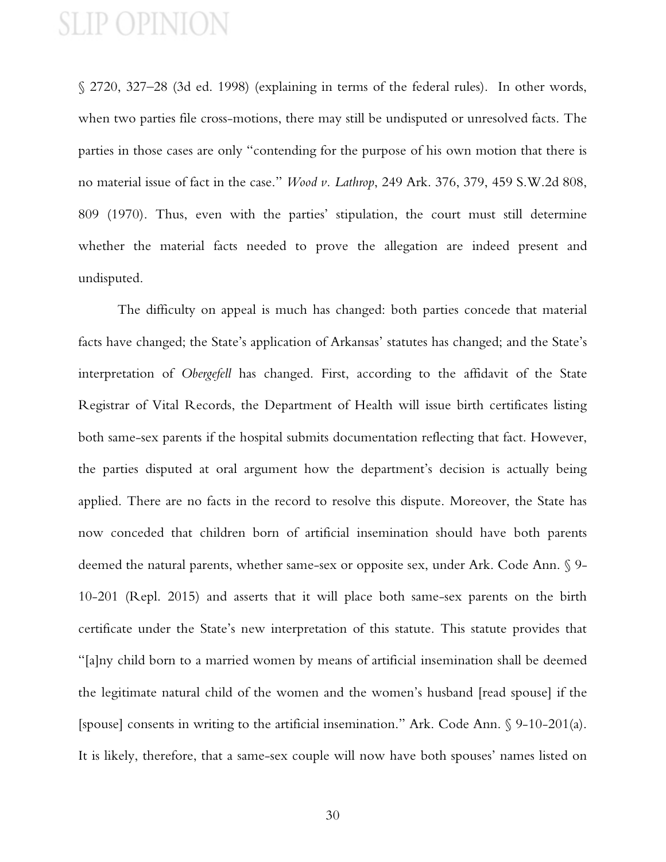§ 2720, 327–28 (3d ed. 1998) (explaining in terms of the federal rules). In other words, when two parties file cross-motions, there may still be undisputed or unresolved facts. The parties in those cases are only "contending for the purpose of his own motion that there is no material issue of fact in the case." *Wood v. Lathrop*, 249 Ark. 376, 379, 459 S.W.2d 808, 809 (1970). Thus, even with the parties' stipulation, the court must still determine whether the material facts needed to prove the allegation are indeed present and undisputed.

The difficulty on appeal is much has changed: both parties concede that material facts have changed; the State's application of Arkansas' statutes has changed; and the State's interpretation of *Obergefell* has changed. First, according to the affidavit of the State Registrar of Vital Records, the Department of Health will issue birth certificates listing both same-sex parents if the hospital submits documentation reflecting that fact. However, the parties disputed at oral argument how the department's decision is actually being applied. There are no facts in the record to resolve this dispute. Moreover, the State has now conceded that children born of artificial insemination should have both parents deemed the natural parents, whether same-sex or opposite sex, under Ark. Code Ann. § 9- 10-201 (Repl. 2015) and asserts that it will place both same-sex parents on the birth certificate under the State's new interpretation of this statute. This statute provides that "[a]ny child born to a married women by means of artificial insemination shall be deemed the legitimate natural child of the women and the women's husband [read spouse] if the [spouse] consents in writing to the artificial insemination." Ark. Code Ann. § 9-10-201(a). It is likely, therefore, that a same-sex couple will now have both spouses' names listed on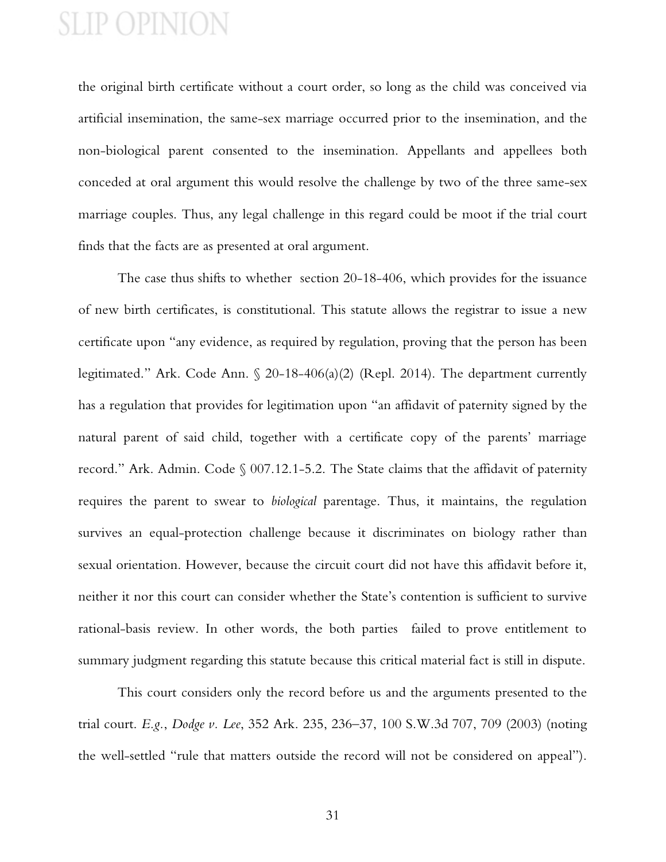the original birth certificate without a court order, so long as the child was conceived via artificial insemination, the same-sex marriage occurred prior to the insemination, and the non-biological parent consented to the insemination. Appellants and appellees both conceded at oral argument this would resolve the challenge by two of the three same-sex marriage couples. Thus, any legal challenge in this regard could be moot if the trial court finds that the facts are as presented at oral argument.

The case thus shifts to whether section 20-18-406, which provides for the issuance of new birth certificates, is constitutional. This statute allows the registrar to issue a new certificate upon "any evidence, as required by regulation, proving that the person has been legitimated." Ark. Code Ann. § 20-18-406(a)(2) (Repl. 2014). The department currently has a regulation that provides for legitimation upon "an affidavit of paternity signed by the natural parent of said child, together with a certificate copy of the parents' marriage record." Ark. Admin. Code § 007.12.1-5.2. The State claims that the affidavit of paternity requires the parent to swear to *biological* parentage. Thus, it maintains, the regulation survives an equal-protection challenge because it discriminates on biology rather than sexual orientation. However, because the circuit court did not have this affidavit before it, neither it nor this court can consider whether the State's contention is sufficient to survive rational-basis review. In other words, the both parties failed to prove entitlement to summary judgment regarding this statute because this critical material fact is still in dispute.

This court considers only the record before us and the arguments presented to the trial court. *E.g.*, *Dodge v. Lee*, 352 Ark. 235, 236–37, 100 S.W.3d 707, 709 (2003) (noting the well-settled "rule that matters outside the record will not be considered on appeal").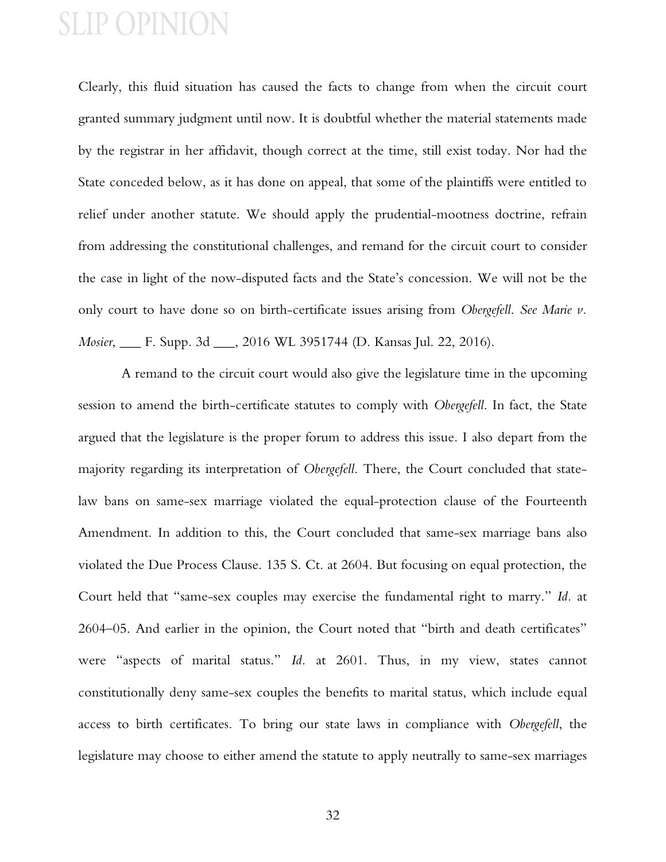Clearly, this fluid situation has caused the facts to change from when the circuit court granted summary judgment until now. It is doubtful whether the material statements made by the registrar in her affidavit, though correct at the time, still exist today. Nor had the State conceded below, as it has done on appeal, that some of the plaintiffs were entitled to relief under another statute. We should apply the prudential-mootness doctrine, refrain from addressing the constitutional challenges, and remand for the circuit court to consider the case in light of the now-disputed facts and the State's concession. We will not be the only court to have done so on birth-certificate issues arising from *Obergefell*. *See Marie v. Mosier*, \_\_\_ F. Supp. 3d \_\_\_, 2016 WL 3951744 (D. Kansas Jul. 22, 2016).

 A remand to the circuit court would also give the legislature time in the upcoming session to amend the birth-certificate statutes to comply with *Obergefell*. In fact, the State argued that the legislature is the proper forum to address this issue. I also depart from the majority regarding its interpretation of *Obergefell*. There, the Court concluded that statelaw bans on same-sex marriage violated the equal-protection clause of the Fourteenth Amendment. In addition to this, the Court concluded that same-sex marriage bans also violated the Due Process Clause. 135 S. Ct. at 2604. But focusing on equal protection, the Court held that "same-sex couples may exercise the fundamental right to marry." *Id.* at 2604–05. And earlier in the opinion, the Court noted that "birth and death certificates" were "aspects of marital status." *Id.* at 2601. Thus, in my view, states cannot constitutionally deny same-sex couples the benefits to marital status, which include equal access to birth certificates. To bring our state laws in compliance with *Obergefell*, the legislature may choose to either amend the statute to apply neutrally to same-sex marriages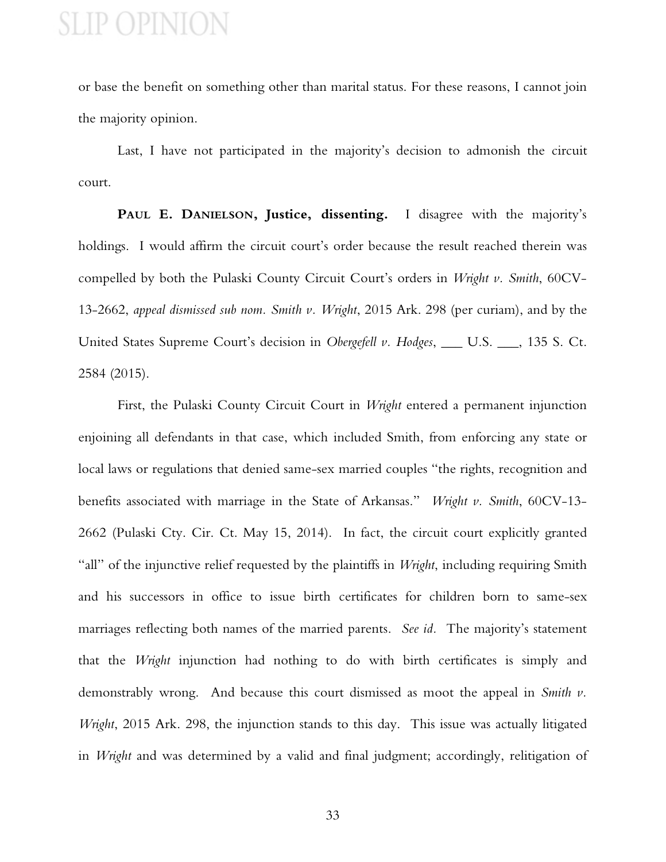or base the benefit on something other than marital status. For these reasons, I cannot join the majority opinion.

Last, I have not participated in the majority's decision to admonish the circuit court.

**PAUL E. DANIELSON, Justice, dissenting.** I disagree with the majority's holdings. I would affirm the circuit court's order because the result reached therein was compelled by both the Pulaski County Circuit Court's orders in *Wright v. Smith*, 60CV-13-2662, *appeal dismissed sub nom. Smith v. Wright*, 2015 Ark. 298 (per curiam), and by the United States Supreme Court's decision in *Obergefell v. Hodges*, \_\_\_ U.S. \_\_\_, 135 S. Ct. 2584 (2015).

First, the Pulaski County Circuit Court in *Wright* entered a permanent injunction enjoining all defendants in that case, which included Smith, from enforcing any state or local laws or regulations that denied same-sex married couples "the rights, recognition and benefits associated with marriage in the State of Arkansas." *Wright v. Smith*, 60CV-13- 2662 (Pulaski Cty. Cir. Ct. May 15, 2014). In fact, the circuit court explicitly granted "all" of the injunctive relief requested by the plaintiffs in *Wright*, including requiring Smith and his successors in office to issue birth certificates for children born to same-sex marriages reflecting both names of the married parents. *See id.* The majority's statement that the *Wright* injunction had nothing to do with birth certificates is simply and demonstrably wrong. And because this court dismissed as moot the appeal in *Smith v. Wright*, 2015 Ark. 298, the injunction stands to this day. This issue was actually litigated in *Wright* and was determined by a valid and final judgment; accordingly, relitigation of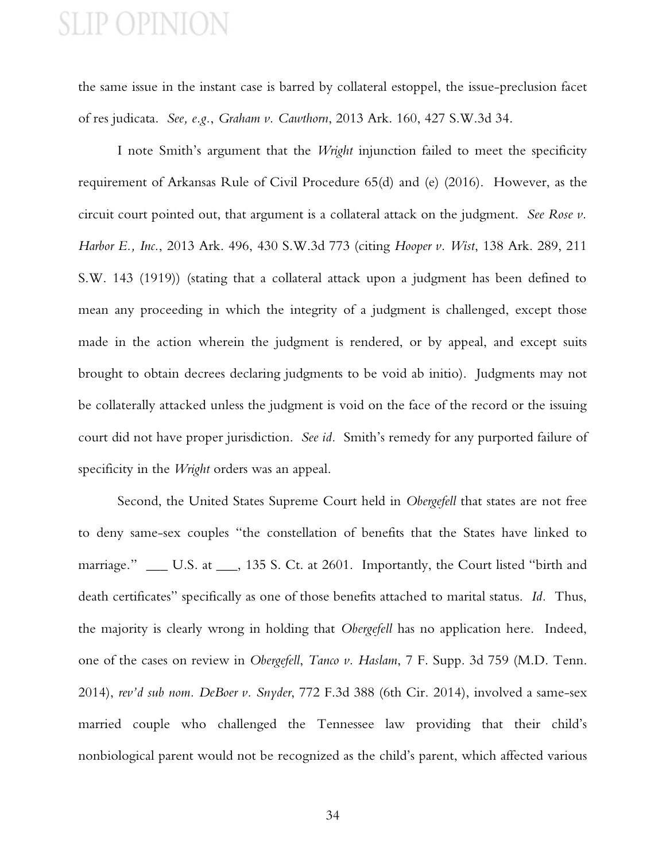the same issue in the instant case is barred by collateral estoppel, the issue-preclusion facet of res judicata. *See, e.g.*, *Graham v. Cawthorn*, 2013 Ark. 160, 427 S.W.3d 34.

I note Smith's argument that the *Wright* injunction failed to meet the specificity requirement of Arkansas Rule of Civil Procedure 65(d) and (e) (2016). However, as the circuit court pointed out, that argument is a collateral attack on the judgment. *See Rose v. Harbor E., Inc.*, 2013 Ark. 496, 430 S.W.3d 773 (citing *Hooper v. Wist*, 138 Ark. 289, 211 S.W. 143 (1919)) (stating that a collateral attack upon a judgment has been defined to mean any proceeding in which the integrity of a judgment is challenged, except those made in the action wherein the judgment is rendered, or by appeal, and except suits brought to obtain decrees declaring judgments to be void ab initio). Judgments may not be collaterally attacked unless the judgment is void on the face of the record or the issuing court did not have proper jurisdiction. *See id.* Smith's remedy for any purported failure of specificity in the *Wright* orders was an appeal.

Second, the United States Supreme Court held in *Obergefell* that states are not free to deny same-sex couples "the constellation of benefits that the States have linked to marriage." \_\_\_ U.S. at \_\_\_, 135 S. Ct. at 2601. Importantly, the Court listed "birth and death certificates" specifically as one of those benefits attached to marital status. *Id.* Thus, the majority is clearly wrong in holding that *Obergefell* has no application here. Indeed, one of the cases on review in *Obergefell*, *Tanco v. Haslam*, 7 F. Supp. 3d 759 (M.D. Tenn. 2014), *rev'd sub nom. DeBoer v. Snyder*, 772 F.3d 388 (6th Cir. 2014), involved a same-sex married couple who challenged the Tennessee law providing that their child's nonbiological parent would not be recognized as the child's parent, which affected various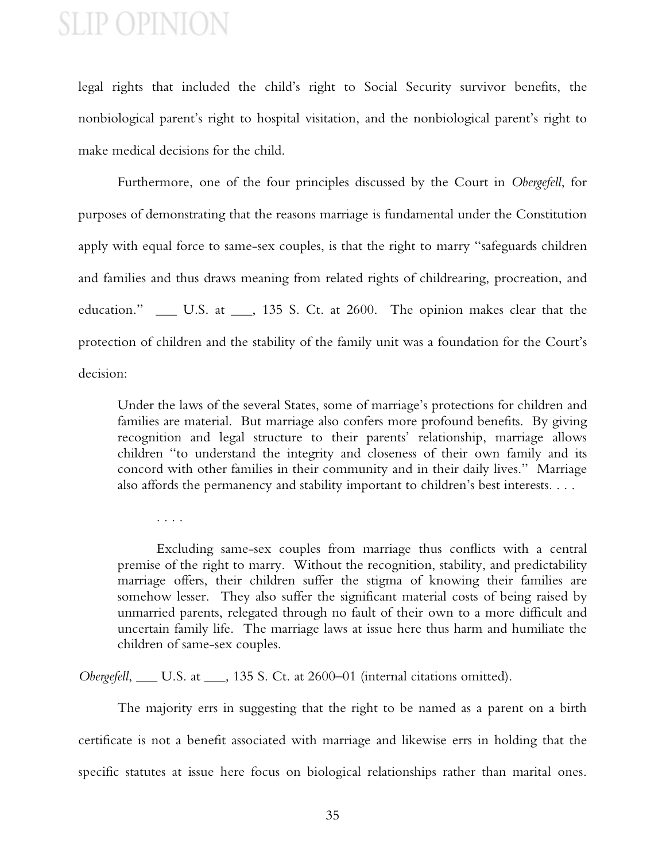legal rights that included the child's right to Social Security survivor benefits, the nonbiological parent's right to hospital visitation, and the nonbiological parent's right to make medical decisions for the child.

Furthermore, one of the four principles discussed by the Court in *Obergefell*, for purposes of demonstrating that the reasons marriage is fundamental under the Constitution apply with equal force to same-sex couples, is that the right to marry "safeguards children and families and thus draws meaning from related rights of childrearing, procreation, and education." \_\_\_ U.S. at \_\_\_, 135 S. Ct. at 2600. The opinion makes clear that the protection of children and the stability of the family unit was a foundation for the Court's decision:

Under the laws of the several States, some of marriage's protections for children and families are material. But marriage also confers more profound benefits. By giving recognition and legal structure to their parents' relationship, marriage allows children "to understand the integrity and closeness of their own family and its concord with other families in their community and in their daily lives." Marriage also affords the permanency and stability important to children's best interests. . . .

. . . .

Excluding same-sex couples from marriage thus conflicts with a central premise of the right to marry. Without the recognition, stability, and predictability marriage offers, their children suffer the stigma of knowing their families are somehow lesser. They also suffer the significant material costs of being raised by unmarried parents, relegated through no fault of their own to a more difficult and uncertain family life. The marriage laws at issue here thus harm and humiliate the children of same-sex couples.

*Obergefell*, \_\_\_ U.S. at \_\_\_, 135 S. Ct. at 2600–01 (internal citations omitted).

The majority errs in suggesting that the right to be named as a parent on a birth certificate is not a benefit associated with marriage and likewise errs in holding that the specific statutes at issue here focus on biological relationships rather than marital ones.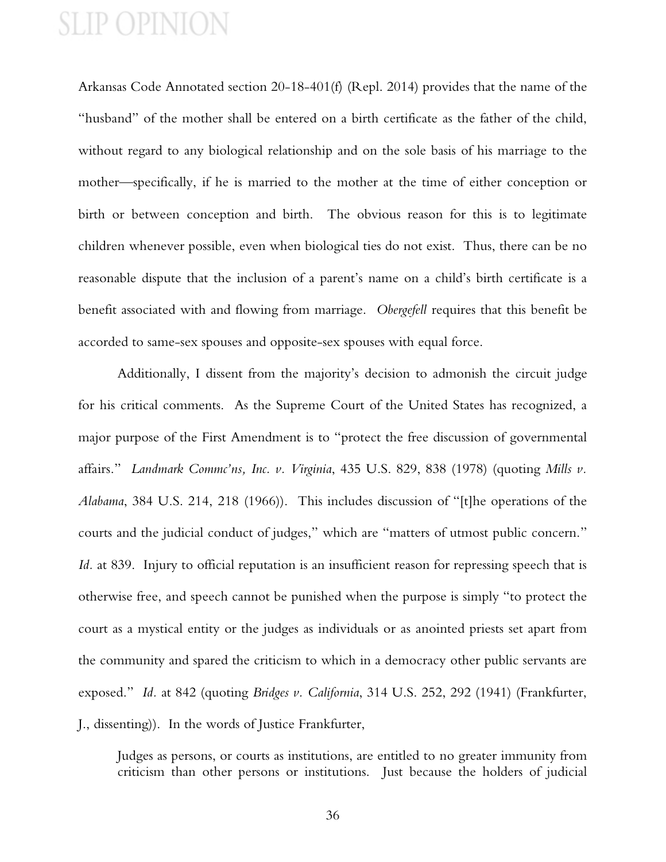Arkansas Code Annotated section 20-18-401(f) (Repl. 2014) provides that the name of the "husband" of the mother shall be entered on a birth certificate as the father of the child, without regard to any biological relationship and on the sole basis of his marriage to the mother—specifically, if he is married to the mother at the time of either conception or birth or between conception and birth. The obvious reason for this is to legitimate children whenever possible, even when biological ties do not exist. Thus, there can be no reasonable dispute that the inclusion of a parent's name on a child's birth certificate is a benefit associated with and flowing from marriage. *Obergefell* requires that this benefit be accorded to same-sex spouses and opposite-sex spouses with equal force.

Additionally, I dissent from the majority's decision to admonish the circuit judge for his critical comments. As the Supreme Court of the United States has recognized, a major purpose of the First Amendment is to "protect the free discussion of governmental affairs." *Landmark Commc'ns, Inc. v. Virginia*, 435 U.S. 829, 838 (1978) (quoting *Mills v. Alabama*, 384 U.S. 214, 218 (1966)). This includes discussion of "[t]he operations of the courts and the judicial conduct of judges," which are "matters of utmost public concern." *Id.* at 839. Injury to official reputation is an insufficient reason for repressing speech that is otherwise free, and speech cannot be punished when the purpose is simply "to protect the court as a mystical entity or the judges as individuals or as anointed priests set apart from the community and spared the criticism to which in a democracy other public servants are exposed." *Id.* at 842 (quoting *Bridges v. California*, 314 U.S. 252, 292 (1941) (Frankfurter, J., dissenting)). In the words of Justice Frankfurter,

Judges as persons, or courts as institutions, are entitled to no greater immunity from criticism than other persons or institutions. Just because the holders of judicial